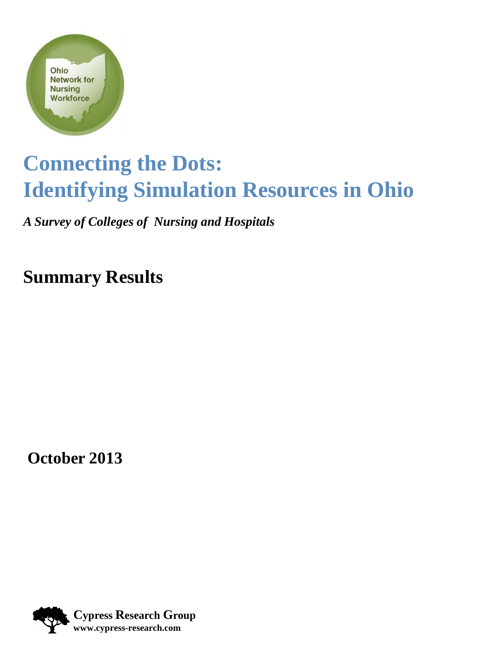

### **Connecting the Dots: Identifying Simulation Resources in Ohio**

*A Survey of Colleges of Nursing and Hospitals*

**Summary Results**

**October 2013**

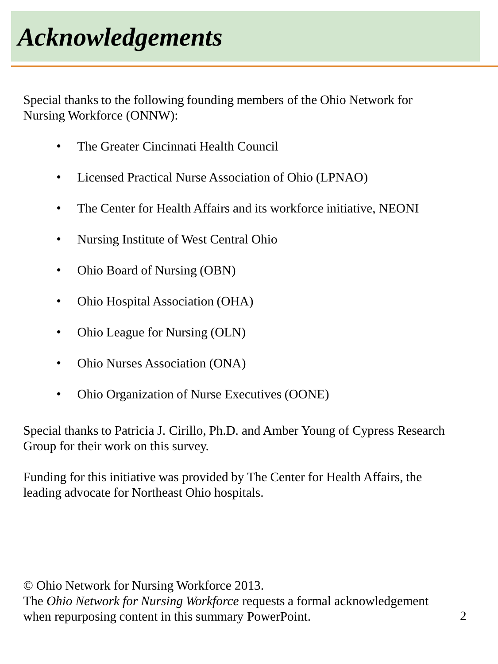Special thanks to the following founding members of the Ohio Network for Nursing Workforce (ONNW):

- The Greater Cincinnati Health Council
- Licensed Practical Nurse Association of Ohio (LPNAO)
- The Center for Health Affairs and its workforce initiative, NEONI
- Nursing Institute of West Central Ohio
- Ohio Board of Nursing (OBN)
- Ohio Hospital Association (OHA)
- Ohio League for Nursing (OLN)
- Ohio Nurses Association (ONA)
- Ohio Organization of Nurse Executives (OONE)

Special thanks to Patricia J. Cirillo, Ph.D. and Amber Young of Cypress Research Group for their work on this survey.

Funding for this initiative was provided by The Center for Health Affairs, the leading advocate for Northeast Ohio hospitals.

© Ohio Network for Nursing Workforce 2013. The *Ohio Network for Nursing Workforce* requests a formal acknowledgement when repurposing content in this summary PowerPoint.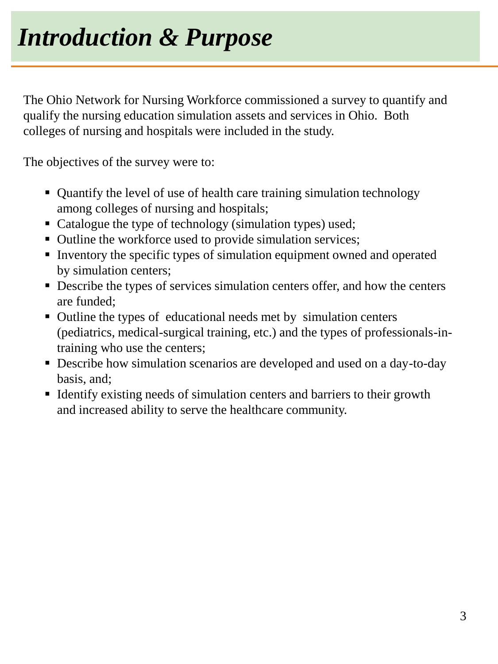The Ohio Network for Nursing Workforce commissioned a survey to quantify and qualify the nursing education simulation assets and services in Ohio. Both colleges of nursing and hospitals were included in the study.

The objectives of the survey were to:

- Quantify the level of use of health care training simulation technology among colleges of nursing and hospitals;
- Catalogue the type of technology (simulation types) used;
- Outline the workforce used to provide simulation services;
- Inventory the specific types of simulation equipment owned and operated by simulation centers;
- Describe the types of services simulation centers offer, and how the centers are funded;
- Outline the types of educational needs met by simulation centers (pediatrics, medical-surgical training, etc.) and the types of professionals-intraining who use the centers;
- Describe how simulation scenarios are developed and used on a day-to-day basis, and;
- If Identify existing needs of simulation centers and barriers to their growth and increased ability to serve the healthcare community.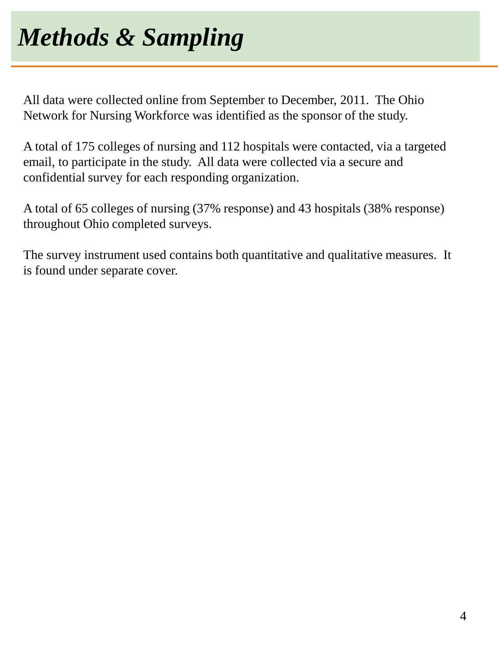All data were collected online from September to December, 2011. The Ohio Network for Nursing Workforce was identified as the sponsor of the study.

A total of 175 colleges of nursing and 112 hospitals were contacted, via a targeted email, to participate in the study. All data were collected via a secure and confidential survey for each responding organization.

A total of 65 colleges of nursing (37% response) and 43 hospitals (38% response) throughout Ohio completed surveys.

The survey instrument used contains both quantitative and qualitative measures. It is found under separate cover.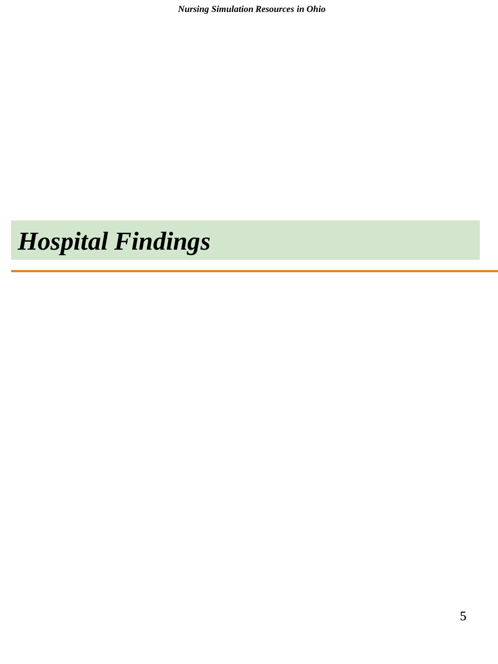*Nursing Simulation Resources in Ohio*

## *Hospital Findings*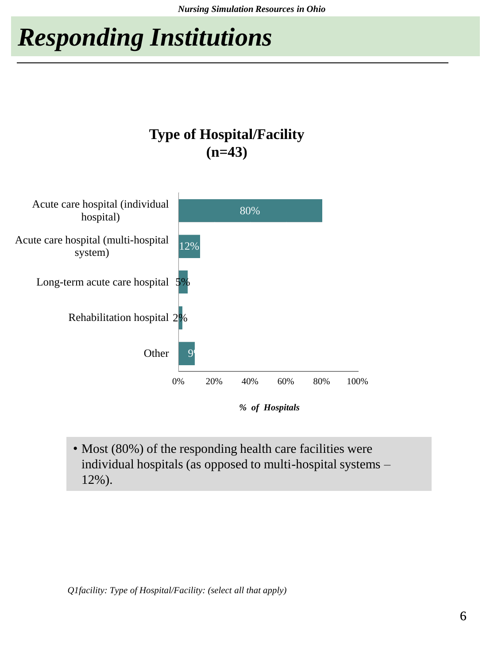## *Responding Institutions*





• Most (80%) of the responding health care facilities were individual hospitals (as opposed to multi-hospital systems – 12%).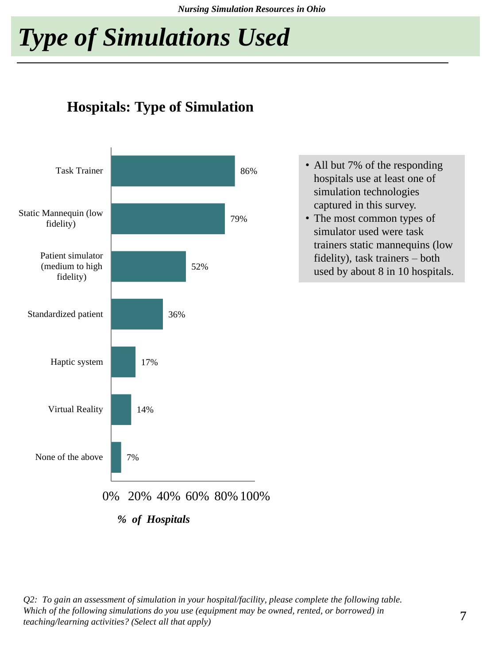*Nursing Simulation Resources in Ohio*

## *Type of Simulations Used*

#### **Hospitals: Type of Simulation**



• All but 7% of the responding hospitals use at least one of simulation technologies captured in this survey.

• The most common types of simulator used were task trainers static mannequins (low fidelity), task trainers – both used by about 8 in 10 hospitals.

*Q2: To gain an assessment of simulation in your hospital/facility, please complete the following table. Which of the following simulations do you use (equipment may be owned, rented, or borrowed) in teaching/learning activities? (Select all that apply)*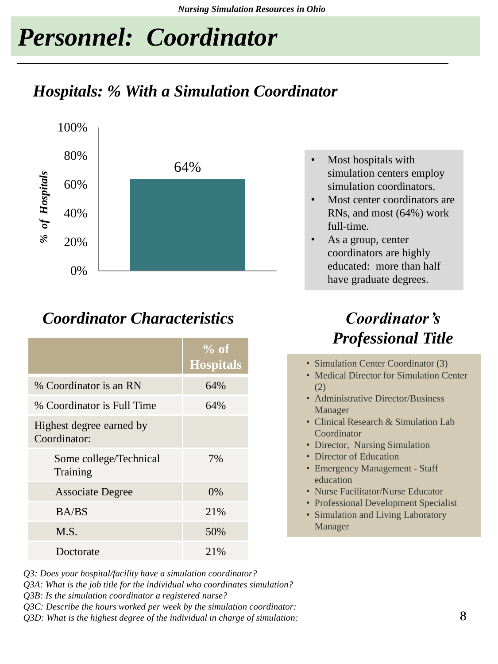### *Personnel: Coordinator*

### *Hospitals: % With a Simulation Coordinator*



#### *Coordinator Characteristics Coordinator's*

|                                          | $%$ of<br><b>Hospitals</b> |
|------------------------------------------|----------------------------|
| % Coordinator is an RN                   | 64%                        |
| % Coordinator is Full Time               | 64%                        |
| Highest degree earned by<br>Coordinator: |                            |
| Some college/Technical<br>Training       | 7%                         |
| <b>Associate Degree</b>                  | $0\%$                      |
| <b>BA/BS</b>                             | 21%                        |
| M.S.                                     | 50%                        |
| Doctorate                                | 21%                        |

- *Q3: Does your hospital/facility have a simulation coordinator?*
- *Q3A: What is the job title for the individual who coordinates simulation?*

*Q3B: Is the simulation coordinator a registered nurse?*

*Q3C: Describe the hours worked per week by the simulation coordinator:*

 $\tilde{Q}3D$ : What is the highest degree of the individual in charge of simulation:  $8$ 

- Most hospitals with simulation centers employ simulation coordinators.
- Most center coordinators are RNs, and most (64%) work full-time.
- As a group, center coordinators are highly educated: more than half have graduate degrees.

# *Professional Title*

- Simulation Center Coordinator (3)
- Medical Director for Simulation Center (2)
- Administrative Director/Business Manager
- Clinical Research & Simulation Lab Coordinator
- Director, Nursing Simulation
- Director of Education
- Emergency Management Staff education
- Nurse Facilitator/Nurse Educator
- Professional Development Specialist
- Simulation and Living Laboratory Manager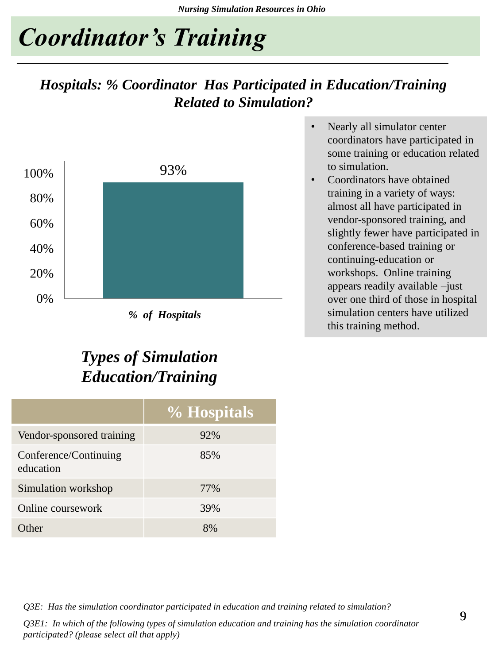### *Coordinator's Training*

#### *Hospitals: % Coordinator Has Participated in Education/Training Related to Simulation?*



*% of Hospitals*

### *Types of Simulation Education/Training*

|                                    | % Hospitals |
|------------------------------------|-------------|
| Vendor-sponsored training          | 92%         |
| Conference/Continuing<br>education | 85%         |
| Simulation workshop                | 77%         |
| Online coursework                  | 39%         |
| Ither                              | 8%          |

- Nearly all simulator center coordinators have participated in some training or education related to simulation.
- Coordinators have obtained training in a variety of ways: almost all have participated in vendor-sponsored training, and slightly fewer have participated in conference-based training or continuing-education or workshops. Online training appears readily available –just over one third of those in hospital simulation centers have utilized this training method.

*Q3E: Has the simulation coordinator participated in education and training related to simulation?*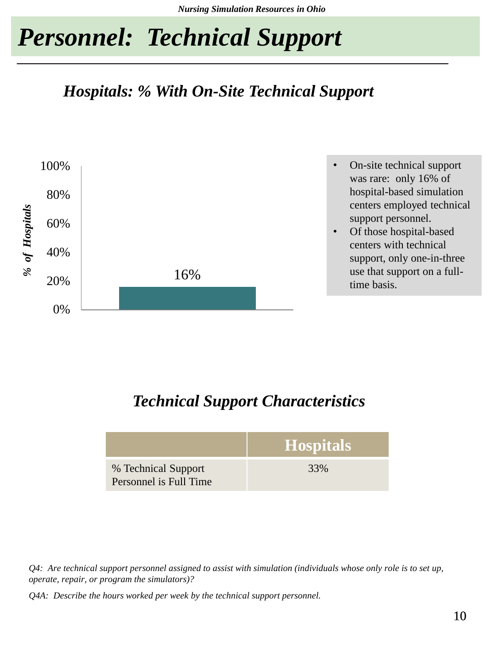### *Personnel: Technical Support*

#### *Hospitals: % With On-Site Technical Support*



#### *Technical Support Characteristics*

|                                               | Hospitals |
|-----------------------------------------------|-----------|
| % Technical Support<br>Personnel is Full Time | 33%       |

*Q4: Are technical support personnel assigned to assist with simulation (individuals whose only role is to set up, operate, repair, or program the simulators)?*

*Q4A: Describe the hours worked per week by the technical support personnel.*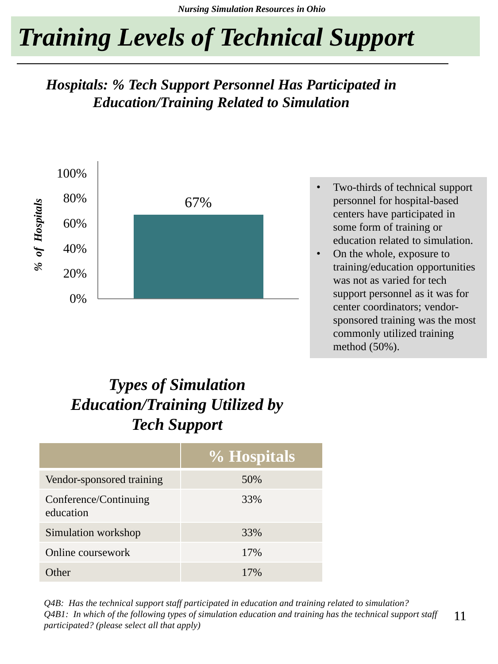## *Training Levels of Technical Support*

#### *Hospitals: % Tech Support Personnel Has Participated in Education/Training Related to Simulation*



- Two-thirds of technical support personnel for hospital-based centers have participated in some form of training or education related to simulation.
- On the whole, exposure to training/education opportunities was not as varied for tech support personnel as it was for center coordinators; vendorsponsored training was the most commonly utilized training method (50%).

### *Types of Simulation Education/Training Utilized by Tech Support*

|                                    | % Hospitals |
|------------------------------------|-------------|
| Vendor-sponsored training          | 50%         |
| Conference/Continuing<br>education | 33%         |
| Simulation workshop                | 33%         |
| Online coursework                  | 17%         |
| ther                               | 17%         |

11 *Q4B: Has the technical support staff participated in education and training related to simulation? Q4B1: In which of the following types of simulation education and training has the technical support staff participated? (please select all that apply)*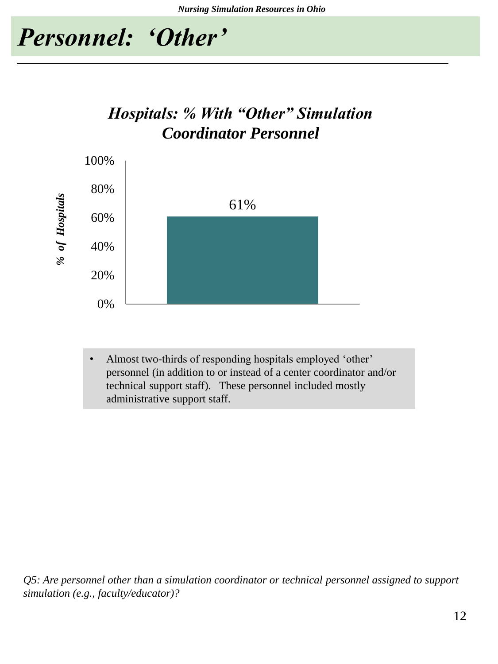

### *Hospitals: % With "Other" Simulation Coordinator Personnel*



• Almost two-thirds of responding hospitals employed 'other' personnel (in addition to or instead of a center coordinator and/or technical support staff). These personnel included mostly administrative support staff.

*Q5: Are personnel other than a simulation coordinator or technical personnel assigned to support simulation (e.g., faculty/educator)?*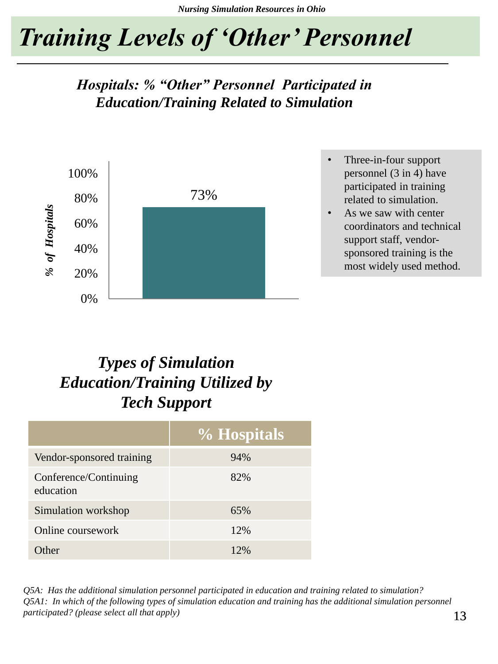## *Training Levels of 'Other' Personnel*

*Hospitals: % "Other" Personnel Participated in Education/Training Related to Simulation*



- Three-in-four support personnel (3 in 4) have participated in training related to simulation.
- As we saw with center coordinators and technical support staff, vendorsponsored training is the most widely used method.

### *Types of Simulation Education/Training Utilized by Tech Support*

|                                    | % Hospitals |
|------------------------------------|-------------|
| Vendor-sponsored training          | 94%         |
| Conference/Continuing<br>education | 82%         |
| Simulation workshop                | 65%         |
| Online coursework                  | 12%         |
| ther)                              | 12%         |

*Q5A: Has the additional simulation personnel participated in education and training related to simulation? Q5A1: In which of the following types of simulation education and training has the additional simulation personnel participated? (please select all that apply)*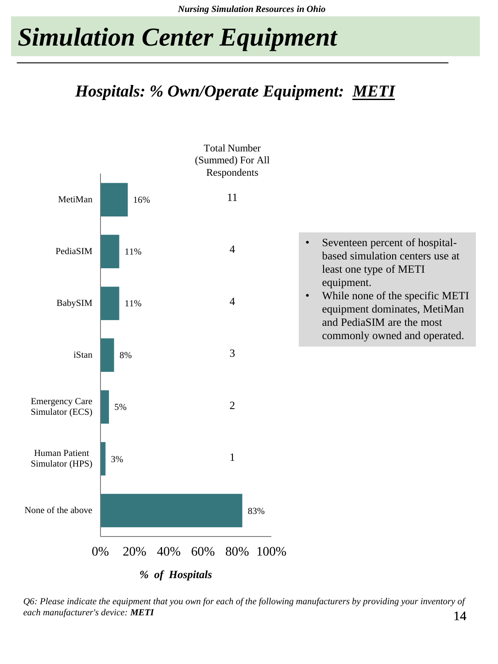### *Hospitals: % Own/Operate Equipment: METI*



14 *Q6: Please indicate the equipment that you own for each of the following manufacturers by providing your inventory of each manufacturer's device: METI*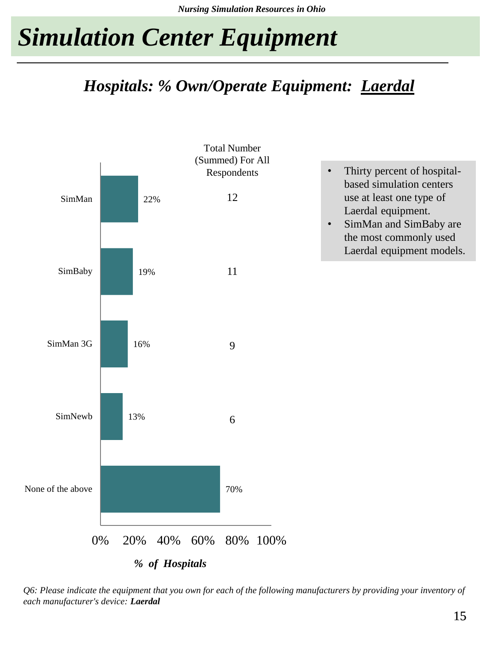### *Hospitals: % Own/Operate Equipment: Laerdal*



*Q6: Please indicate the equipment that you own for each of the following manufacturers by providing your inventory of each manufacturer's device: Laerdal*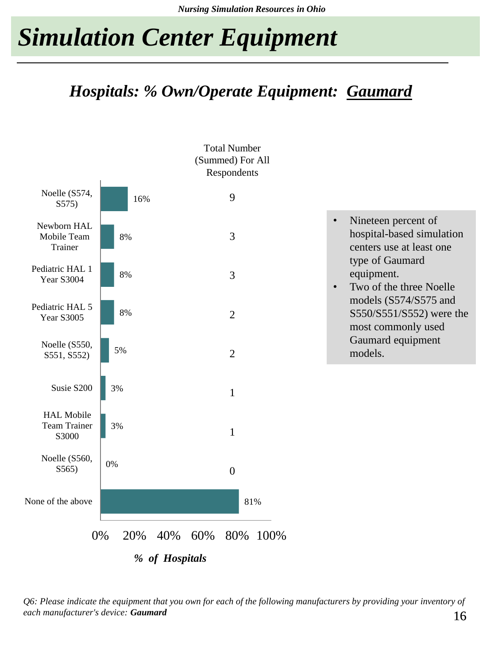### *Hospitals: % Own/Operate Equipment: Gaumard*



16 *Q6: Please indicate the equipment that you own for each of the following manufacturers by providing your inventory of each manufacturer's device: Gaumard*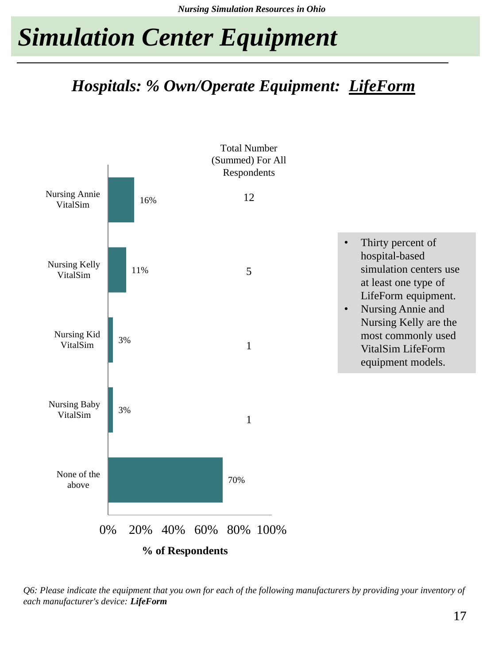### *Hospitals: % Own/Operate Equipment: LifeForm*



*Q6: Please indicate the equipment that you own for each of the following manufacturers by providing your inventory of each manufacturer's device: LifeForm*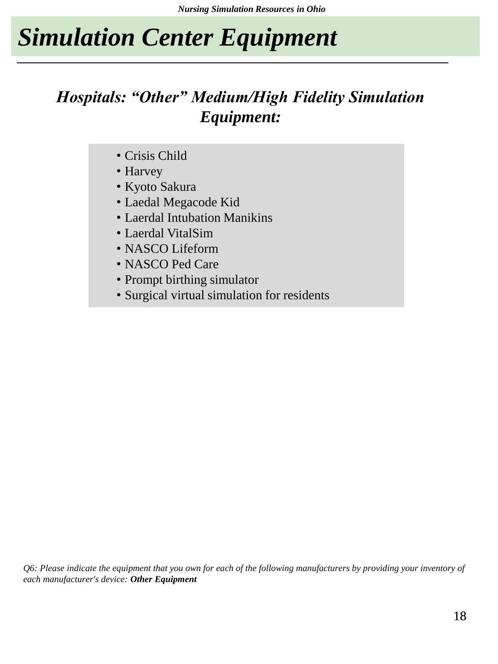### *Hospitals: "Other" Medium/High Fidelity Simulation Equipment:*

- Crisis Child
- Harvey
- Kyoto Sakura
- Laedal Megacode Kid
- Laerdal Intubation Manikins
- Laerdal VitalSim
- NASCO Lifeform
- NASCO Ped Care
- Prompt birthing simulator
- Surgical virtual simulation for residents

*Q6: Please indicate the equipment that you own for each of the following manufacturers by providing your inventory of each manufacturer's device: Other Equipment*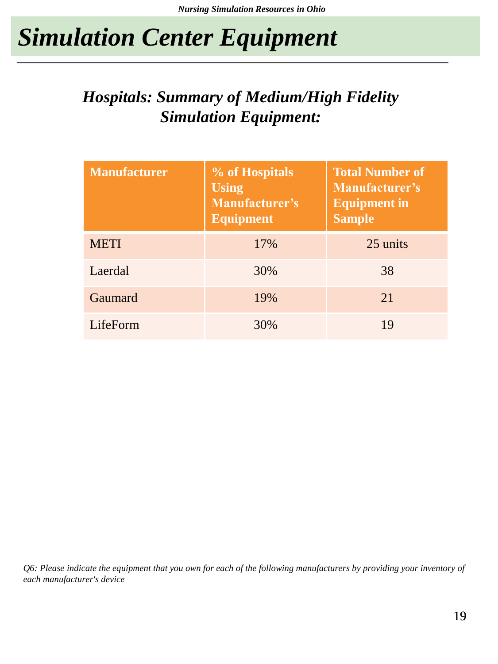### *Hospitals: Summary of Medium/High Fidelity Simulation Equipment:*

| <b>Manufacturer</b> | % of Hospitals<br><b>Using</b><br>Manufacturer's<br><b>Equipment</b> | <b>Total Number of</b><br><b>Manufacturer's</b><br><b>Equipment in</b><br><b>Sample</b> |
|---------------------|----------------------------------------------------------------------|-----------------------------------------------------------------------------------------|
| <b>METI</b>         | 17%                                                                  | 25 units                                                                                |
| Laerdal             | 30%                                                                  | 38                                                                                      |
| Gaumard             | 19%                                                                  | 21                                                                                      |
| LifeForm            | 30%                                                                  | 19                                                                                      |

*Q6: Please indicate the equipment that you own for each of the following manufacturers by providing your inventory of each manufacturer's device*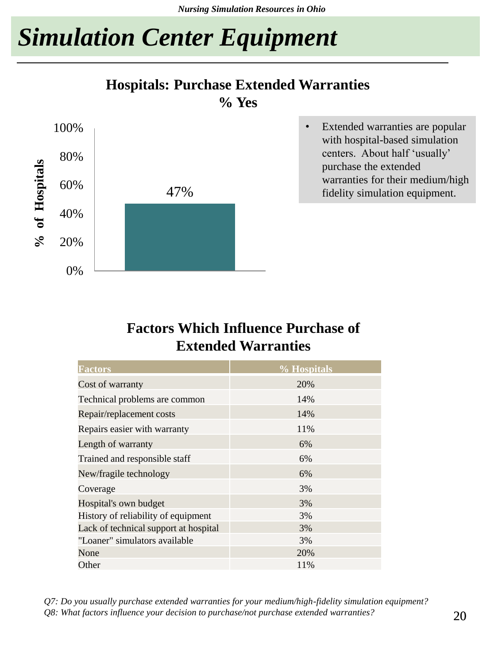#### **Hospitals: Purchase Extended Warranties**

**% Yes**



#### **Factors Which Influence Purchase of Extended Warranties**

| <b>Factors</b>                        | % Hospitals |
|---------------------------------------|-------------|
| Cost of warranty                      | 20%         |
| Technical problems are common         | 14%         |
| Repair/replacement costs              | 14%         |
| Repairs easier with warranty          | 11%         |
| Length of warranty                    | 6%          |
| Trained and responsible staff         | 6%          |
| New/fragile technology                | 6%          |
| Coverage                              | 3%          |
| Hospital's own budget                 | 3%          |
| History of reliability of equipment   | 3%          |
| Lack of technical support at hospital | 3%          |
| "Loaner" simulators available         | 3%          |
| None                                  | 20%         |
| Other                                 | 11%         |

*Q7: Do you usually purchase extended warranties for your medium/high-fidelity simulation equipment? Q8: What factors influence your decision to purchase/not purchase extended warranties?*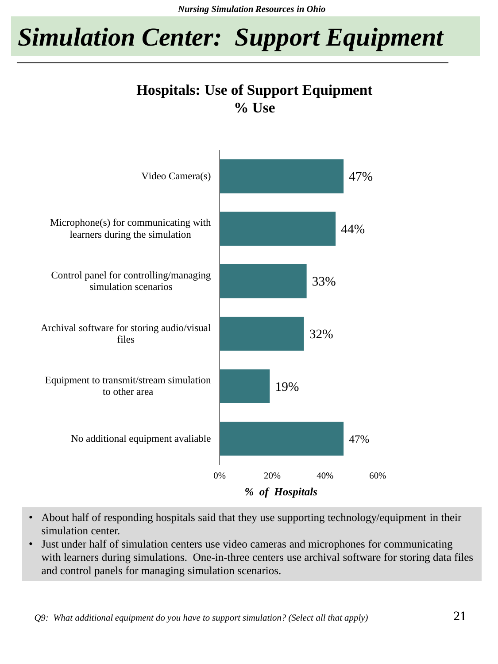*Nursing Simulation Resources in Ohio*

*Simulation Center: Support Equipment* 

#### **Hospitals: Use of Support Equipment % Use**



- About half of responding hospitals said that they use supporting technology/equipment in their simulation center.
- Just under half of simulation centers use video cameras and microphones for communicating with learners during simulations. One-in-three centers use archival software for storing data files and control panels for managing simulation scenarios.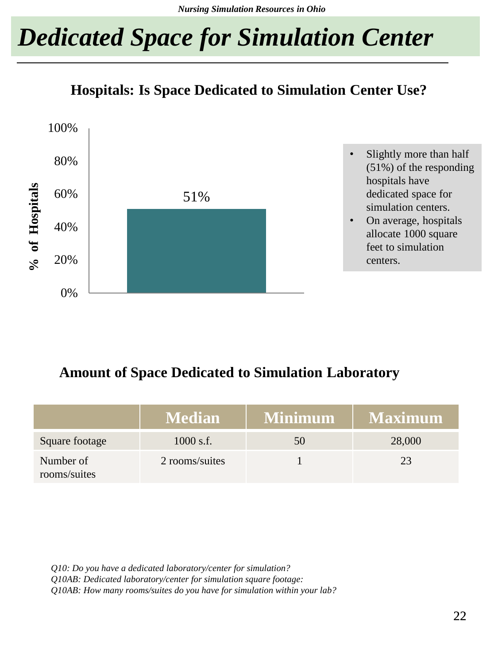## *Dedicated Space for Simulation Center*

#### **Hospitals: Is Space Dedicated to Simulation Center Use?**



#### **Amount of Space Dedicated to Simulation Laboratory**

|                           | <b>Median</b>  | Minimum | <b>Maximum</b> |
|---------------------------|----------------|---------|----------------|
| Square footage            | $1000$ s.f.    | 50      | 28,000         |
| Number of<br>rooms/suites | 2 rooms/suites |         | 23             |

*Q10: Do you have a dedicated laboratory/center for simulation? Q10AB: Dedicated laboratory/center for simulation square footage: Q10AB: How many rooms/suites do you have for simulation within your lab?*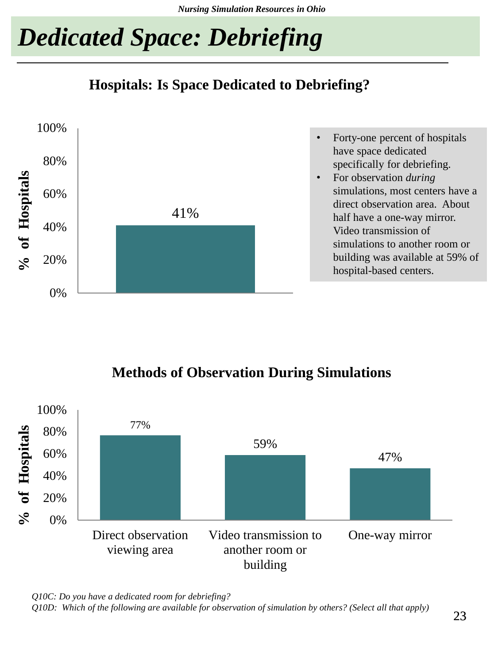## *Dedicated Space: Debriefing*

**Hospitals: Is Space Dedicated to Debriefing?**



- Forty-one percent of hospitals have space dedicated specifically for debriefing.
- For observation *during* simulations, most centers have a direct observation area. About half have a one-way mirror. Video transmission of simulations to another room or building was available at 59% of hospital-based centers.

#### **Methods of Observation During Simulations**



*Q10C: Do you have a dedicated room for debriefing? Q10D: Which of the following are available for observation of simulation by others? (Select all that apply)*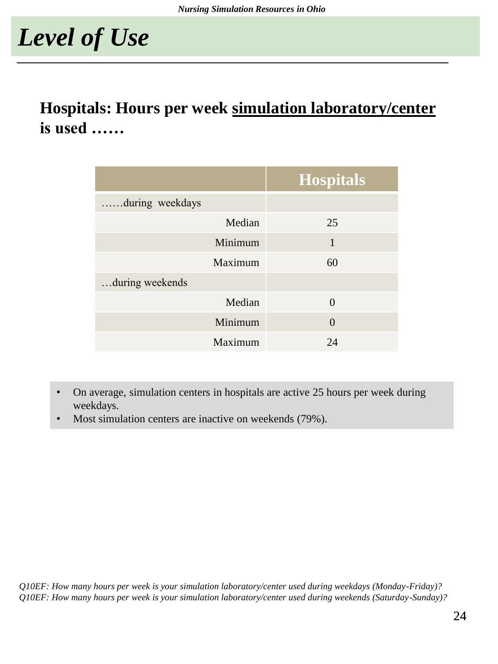### **Hospitals: Hours per week simulation laboratory/center is used ……**

|                 |         | <b>Hospitals</b> |
|-----------------|---------|------------------|
| during weekdays |         |                  |
|                 | Median  | 25               |
|                 | Minimum | 1                |
|                 | Maximum | 60               |
| during weekends |         |                  |
|                 | Median  | $\Omega$         |
|                 | Minimum | $\Omega$         |
|                 | Maximum | 24               |

- On average, simulation centers in hospitals are active 25 hours per week during weekdays.
- Most simulation centers are inactive on weekends (79%).

*Q10EF: How many hours per week is your simulation laboratory/center used during weekdays (Monday-Friday)? Q10EF: How many hours per week is your simulation laboratory/center used during weekends (Saturday-Sunday)?*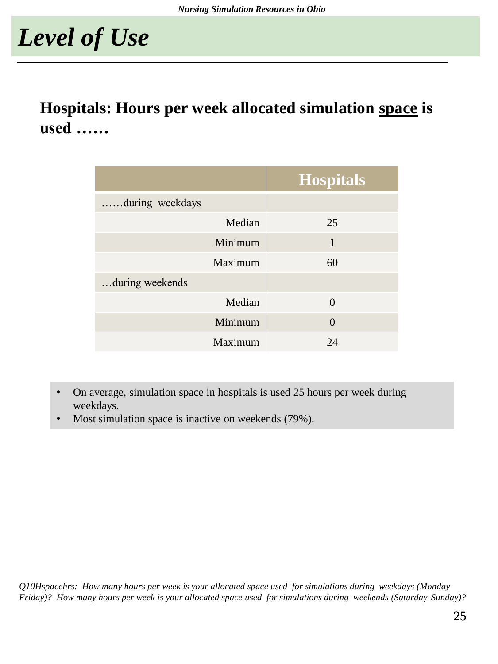### **Hospitals: Hours per week allocated simulation space is used ……**

|                 |         | <b>Hospitals</b> |
|-----------------|---------|------------------|
| during weekdays |         |                  |
|                 | Median  | 25               |
|                 | Minimum | 1                |
|                 | Maximum | 60               |
| during weekends |         |                  |
|                 | Median  | $\Omega$         |
|                 | Minimum | $\Omega$         |
|                 | Maximum | 24               |

- On average, simulation space in hospitals is used 25 hours per week during weekdays.
- Most simulation space is inactive on weekends (79%).

*Q10Hspacehrs: How many hours per week is your allocated space used for simulations during weekdays (Monday-Friday)? How many hours per week is your allocated space used for simulations during weekends (Saturday-Sunday)?*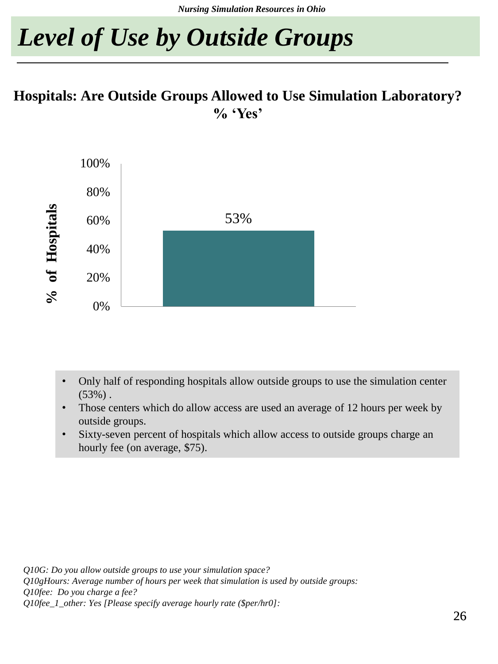## *Level of Use by Outside Groups*

#### **Hospitals: Are Outside Groups Allowed to Use Simulation Laboratory? % 'Yes'**



- Only half of responding hospitals allow outside groups to use the simulation center  $(53%)$ .
- Those centers which do allow access are used an average of 12 hours per week by outside groups.
- Sixty-seven percent of hospitals which allow access to outside groups charge an hourly fee (on average, \$75).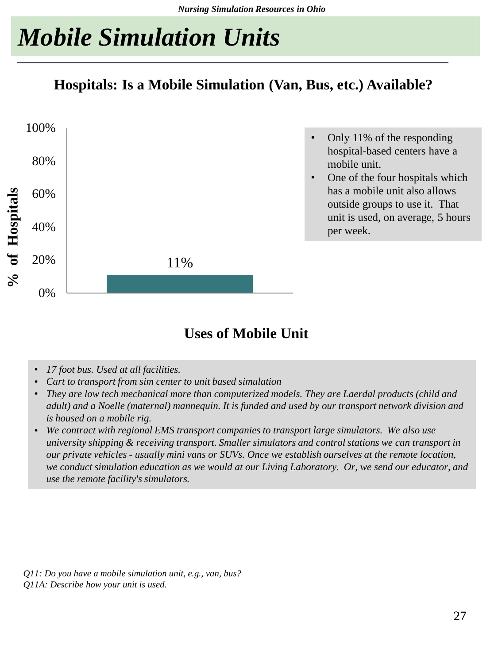## *Mobile Simulation Units*

**Hospitals: Is a Mobile Simulation (Van, Bus, etc.) Available?**



#### **Uses of Mobile Unit**

- *17 foot bus. Used at all facilities.*
- *Cart to transport from sim center to unit based simulation*
- *They are low tech mechanical more than computerized models. They are Laerdal products (child and adult) and a Noelle (maternal) mannequin. It is funded and used by our transport network division and is housed on a mobile rig.*
- *We contract with regional EMS transport companies to transport large simulators. We also use university shipping & receiving transport. Smaller simulators and control stations we can transport in our private vehicles - usually mini vans or SUVs. Once we establish ourselves at the remote location, we conduct simulation education as we would at our Living Laboratory. Or, we send our educator, and use the remote facility's simulators.*

*Q11: Do you have a mobile simulation unit, e.g., van, bus? Q11A: Describe how your unit is used.*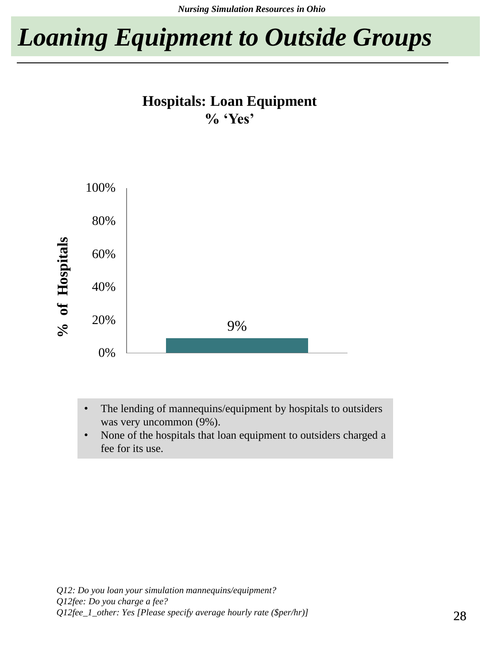*Nursing Simulation Resources in Ohio*

### *Loaning Equipment to Outside Groups*

#### **Hospitals: Loan Equipment % 'Yes'**



- The lending of mannequins/equipment by hospitals to outsiders was very uncommon (9%).
- None of the hospitals that loan equipment to outsiders charged a fee for its use.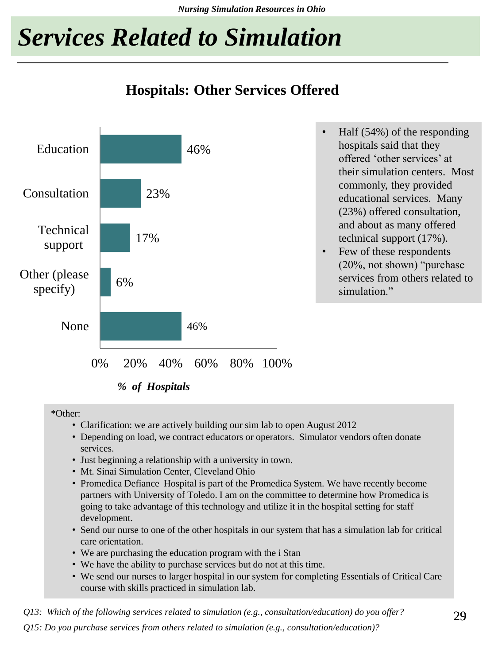*Nursing Simulation Resources in Ohio*

## *Services Related to Simulation*

#### **Hospitals: Other Services Offered**



*% of Hospitals*

\*Other:

- Clarification: we are actively building our sim lab to open August 2012
- Depending on load, we contract educators or operators. Simulator vendors often donate services.
- Just beginning a relationship with a university in town.
- Mt. Sinai Simulation Center, Cleveland Ohio
- Promedica Defiance Hospital is part of the Promedica System. We have recently become partners with University of Toledo. I am on the committee to determine how Promedica is going to take advantage of this technology and utilize it in the hospital setting for staff development.
- Send our nurse to one of the other hospitals in our system that has a simulation lab for critical care orientation.
- We are purchasing the education program with the i Stan
- We have the ability to purchase services but do not at this time.
- We send our nurses to larger hospital in our system for completing Essentials of Critical Care course with skills practiced in simulation lab.

*Q13: Which of the following services related to simulation (e.g., consultation/education) do you offer?*

*Q15: Do you purchase services from others related to simulation (e.g., consultation/education)?*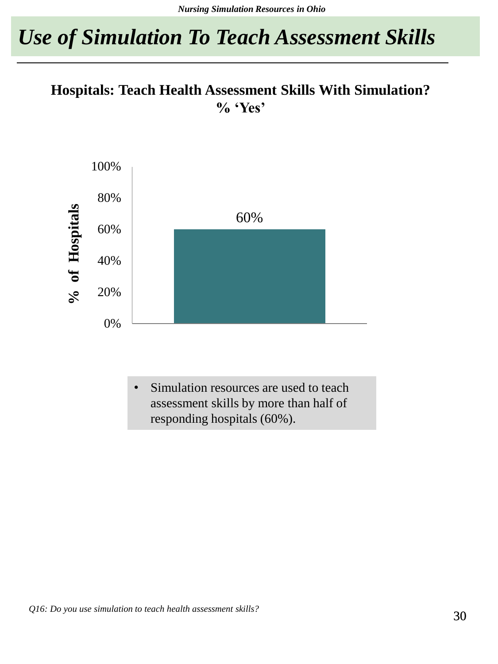### *Use of Simulation To Teach Assessment Skills*

#### **Hospitals: Teach Health Assessment Skills With Simulation? % 'Yes'**



Simulation resources are used to teach assessment skills by more than half of responding hospitals (60%).

*Q16: Do you use simulation to teach health assessment skills?*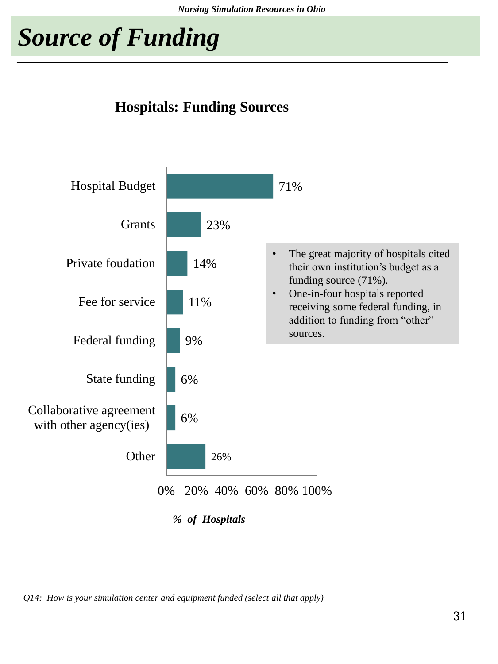*Nursing Simulation Resources in Ohio*

## *Source of Funding*

#### **Hospitals: Funding Sources**



*Q14: How is your simulation center and equipment funded (select all that apply)*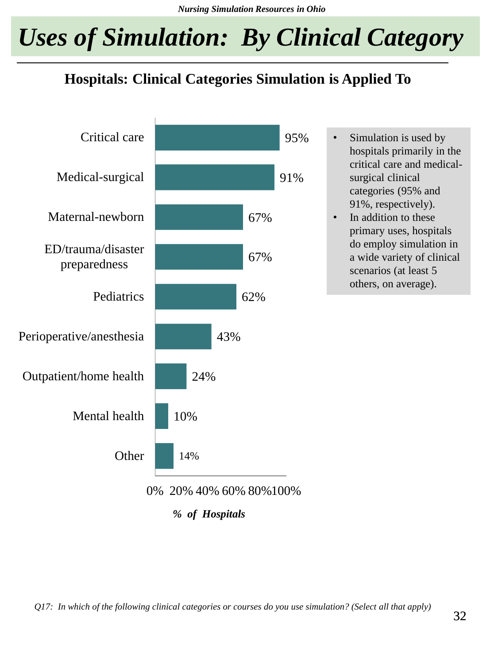## *Uses of Simulation: By Clinical Category*

#### **Hospitals: Clinical Categories Simulation is Applied To**



*Q17: In which of the following clinical categories or courses do you use simulation? (Select all that apply)*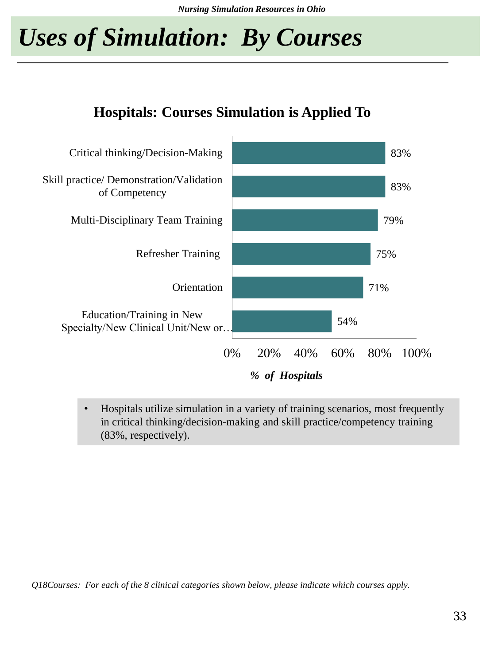## *Uses of Simulation: By Courses*



#### • Hospitals utilize simulation in a variety of training scenarios, most frequently in critical thinking/decision-making and skill practice/competency training (83%, respectively).

*Q18Courses: For each of the 8 clinical categories shown below, please indicate which courses apply.*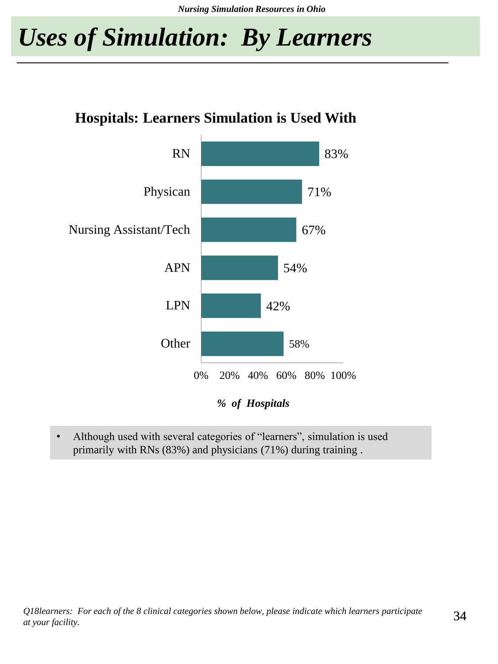### *Uses of Simulation: By Learners*

#### **Hospitals: Learners Simulation is Used With**



• Although used with several categories of "learners", simulation is used primarily with RNs (83%) and physicians (71%) during training .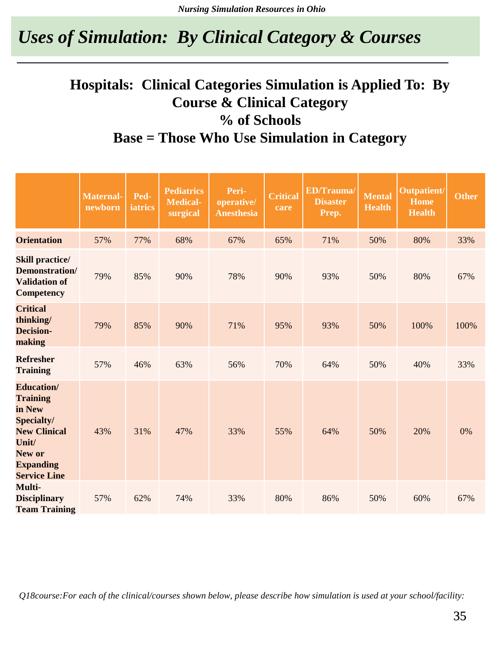### *Uses of Simulation: By Clinical Category & Courses*

#### **Hospitals: Clinical Categories Simulation is Applied To: By Course & Clinical Category % of Schools Base = Those Who Use Simulation in Category**

|                                                                                                                                                    | <b>Maternal-</b><br>newborn | Ped-<br>iatrics | <b>Pediatrics</b><br><b>Medical-</b><br>surgical | Peri-<br>operative/<br><b>Anesthesia</b> | <b>Critical</b><br>care | <b>ED/Trauma/</b><br><b>Disaster</b><br>Prep. | <b>Mental</b><br><b>Health</b> | Outpatient/<br>Home<br><b>Health</b> | <b>Other</b> |
|----------------------------------------------------------------------------------------------------------------------------------------------------|-----------------------------|-----------------|--------------------------------------------------|------------------------------------------|-------------------------|-----------------------------------------------|--------------------------------|--------------------------------------|--------------|
| <b>Orientation</b>                                                                                                                                 | 57%                         | 77%             | 68%                                              | 67%                                      | 65%                     | 71%                                           | 50%                            | 80%                                  | 33%          |
| <b>Skill practice/</b><br>Demonstration/<br><b>Validation of</b><br><b>Competency</b>                                                              | 79%                         | 85%             | 90%                                              | 78%                                      | 90%                     | 93%                                           | 50%                            | 80%                                  | 67%          |
| <b>Critical</b><br>thinking/<br><b>Decision-</b><br>making                                                                                         | 79%                         | 85%             | 90%                                              | 71%                                      | 95%                     | 93%                                           | 50%                            | 100%                                 | 100%         |
| <b>Refresher</b><br><b>Training</b>                                                                                                                | 57%                         | 46%             | 63%                                              | 56%                                      | 70%                     | 64%                                           | 50%                            | 40%                                  | 33%          |
| <b>Education</b> /<br><b>Training</b><br>in New<br>Specialty/<br><b>New Clinical</b><br>Unit/<br>New or<br><b>Expanding</b><br><b>Service Line</b> | 43%                         | 31%             | 47%                                              | 33%                                      | 55%                     | 64%                                           | 50%                            | 20%                                  | 0%           |
| Multi-<br><b>Disciplinary</b><br><b>Team Training</b>                                                                                              | 57%                         | 62%             | 74%                                              | 33%                                      | 80%                     | 86%                                           | 50%                            | 60%                                  | 67%          |

*Q18course:For each of the clinical/courses shown below, please describe how simulation is used at your school/facility:*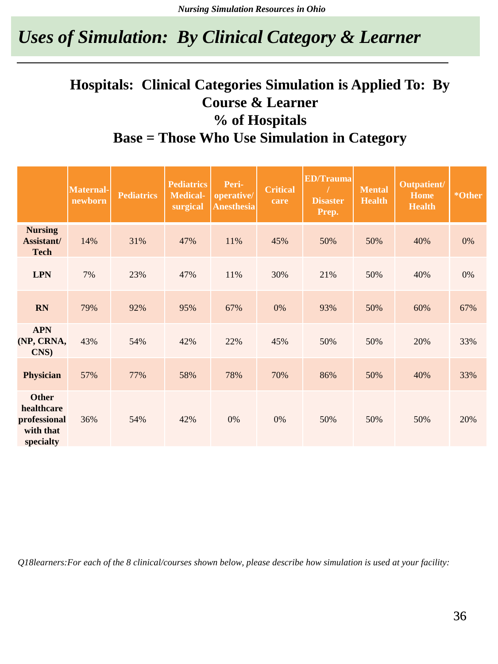### *Uses of Simulation: By Clinical Category & Learner*

#### **Hospitals: Clinical Categories Simulation is Applied To: By Course & Learner % of Hospitals Base = Those Who Use Simulation in Category**

|                                                                      | <b>Maternal-</b><br>newborn | <b>Pediatrics</b> | <b>Pediatrics</b><br><b>Medical-</b><br>surgical | Peri-<br>operative/<br><b>Anesthesia</b> | <b>Critical</b><br>care | <b>ED/Trauma</b><br><b>Disaster</b><br>Prep. | <b>Mental</b><br><b>Health</b> | Outpatient/<br><b>Home</b><br><b>Health</b> | *Other |
|----------------------------------------------------------------------|-----------------------------|-------------------|--------------------------------------------------|------------------------------------------|-------------------------|----------------------------------------------|--------------------------------|---------------------------------------------|--------|
| <b>Nursing</b><br>Assistant/<br><b>Tech</b>                          | 14%                         | 31%               | 47%                                              | 11%                                      | 45%                     | 50%                                          | 50%                            | 40%                                         | 0%     |
| <b>LPN</b>                                                           | 7%                          | 23%               | 47%                                              | 11%                                      | 30%                     | 21%                                          | 50%                            | 40%                                         | 0%     |
| <b>RN</b>                                                            | 79%                         | 92%               | 95%                                              | 67%                                      | 0%                      | 93%                                          | 50%                            | 60%                                         | 67%    |
| <b>APN</b><br>(NP, CRNA,<br>CNS)                                     | 43%                         | 54%               | 42%                                              | 22%                                      | 45%                     | 50%                                          | 50%                            | 20%                                         | 33%    |
| <b>Physician</b>                                                     | 57%                         | 77%               | 58%                                              | 78%                                      | 70%                     | 86%                                          | 50%                            | 40%                                         | 33%    |
| <b>Other</b><br>healthcare<br>professional<br>with that<br>specialty | 36%                         | 54%               | 42%                                              | 0%                                       | 0%                      | 50%                                          | 50%                            | 50%                                         | 20%    |

*Q18learners:For each of the 8 clinical/courses shown below, please describe how simulation is used at your facility:*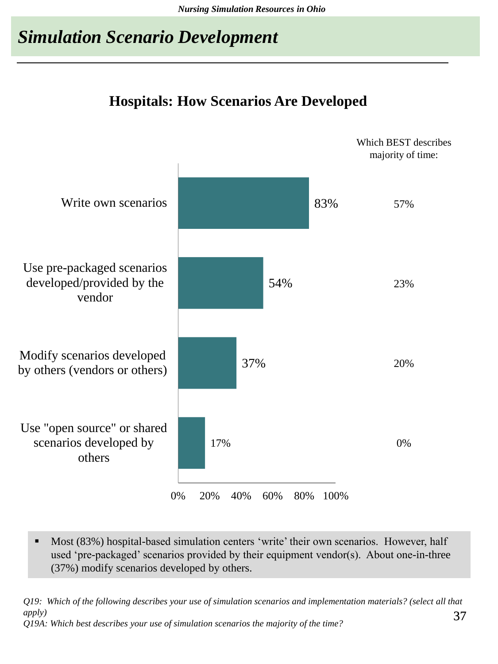### *Simulation Scenario Development*

#### **Hospitals: How Scenarios Are Developed**



 Most (83%) hospital-based simulation centers 'write' their own scenarios. However, half used 'pre-packaged' scenarios provided by their equipment vendor(s). About one-in-three (37%) modify scenarios developed by others.

*Q19: Which of the following describes your use of simulation scenarios and implementation materials? (select all that apply)*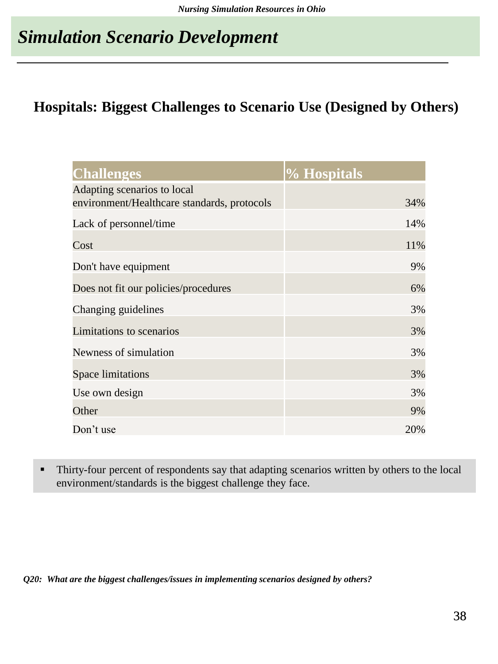### *Simulation Scenario Development*

#### **Hospitals: Biggest Challenges to Scenario Use (Designed by Others)**

| <b>Challenges</b>                           | % Hospitals |
|---------------------------------------------|-------------|
| Adapting scenarios to local                 |             |
| environment/Healthcare standards, protocols | 34%         |
| Lack of personnel/time                      | 14%         |
| Cost                                        | 11%         |
| Don't have equipment                        | 9%          |
| Does not fit our policies/procedures        | 6%          |
| Changing guidelines                         | 3%          |
| Limitations to scenarios                    | 3%          |
| Newness of simulation                       | 3%          |
| <b>Space limitations</b>                    | 3%          |
| Use own design                              | 3%          |
| Other                                       | 9%          |
| Don't use                                   | 20%         |

 Thirty-four percent of respondents say that adapting scenarios written by others to the local environment/standards is the biggest challenge they face.

*Q20: What are the biggest challenges/issues in implementing scenarios designed by others?*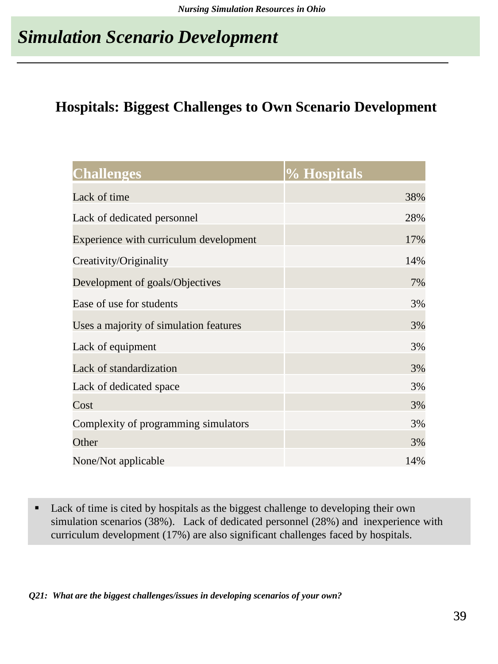## *Simulation Scenario Development*

#### **Hospitals: Biggest Challenges to Own Scenario Development**

| <b>Challenges</b>                      | % Hospitals |
|----------------------------------------|-------------|
| Lack of time                           | 38%         |
| Lack of dedicated personnel            | 28%         |
| Experience with curriculum development | 17%         |
| Creativity/Originality                 | 14%         |
| Development of goals/Objectives        | 7%          |
| Ease of use for students               | 3%          |
| Uses a majority of simulation features | 3%          |
| Lack of equipment                      | 3%          |
| Lack of standardization                | 3%          |
| Lack of dedicated space                | 3%          |
| Cost                                   | 3%          |
| Complexity of programming simulators   | 3%          |
| Other                                  | 3%          |
| None/Not applicable                    | 14%         |

■ Lack of time is cited by hospitals as the biggest challenge to developing their own simulation scenarios (38%). Lack of dedicated personnel (28%) and inexperience with curriculum development (17%) are also significant challenges faced by hospitals.

*Q21: What are the biggest challenges/issues in developing scenarios of your own?*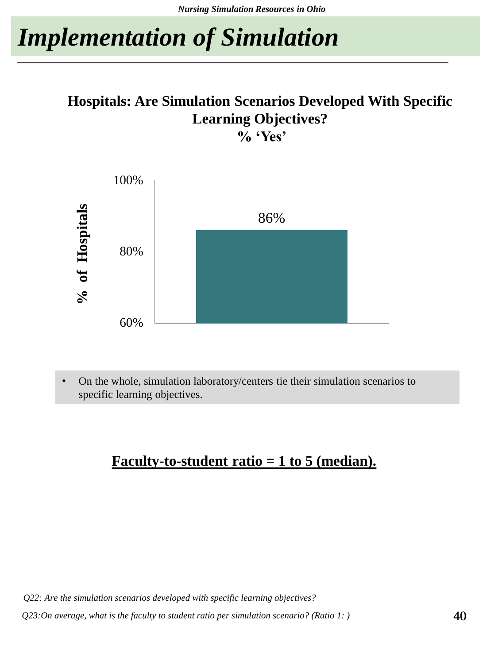# *Implementation of Simulation*

#### **Hospitals: Are Simulation Scenarios Developed With Specific Learning Objectives? % 'Yes'**



• On the whole, simulation laboratory/centers tie their simulation scenarios to specific learning objectives.

### **Faculty-to-student ratio = 1 to 5 (median).**

*Q22: Are the simulation scenarios developed with specific learning objectives?*

*Q23:On average, what is the faculty to student ratio per simulation scenario? (Ratio 1: )*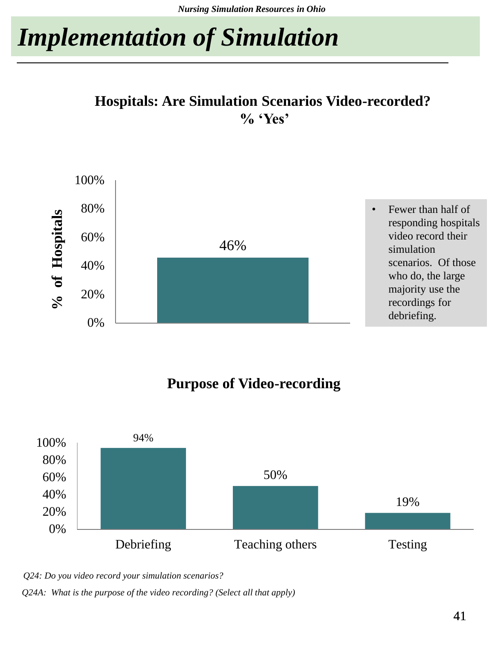# *Implementation of Simulation*





#### **Purpose of Video-recording**



*Q24: Do you video record your simulation scenarios? Q24A: What is the purpose of the video recording? (Select all that apply)*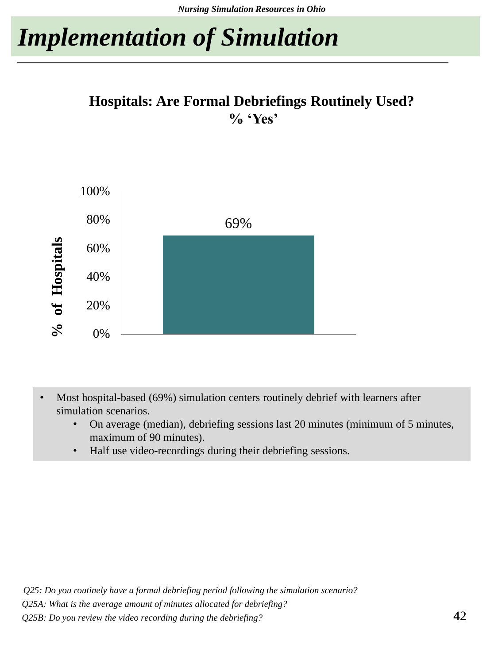# *Implementation of Simulation*

#### **Hospitals: Are Formal Debriefings Routinely Used? % 'Yes'**



- Most hospital-based (69%) simulation centers routinely debrief with learners after simulation scenarios.
	- On average (median), debriefing sessions last 20 minutes (minimum of 5 minutes, maximum of 90 minutes).
	- Half use video-recordings during their debriefing sessions.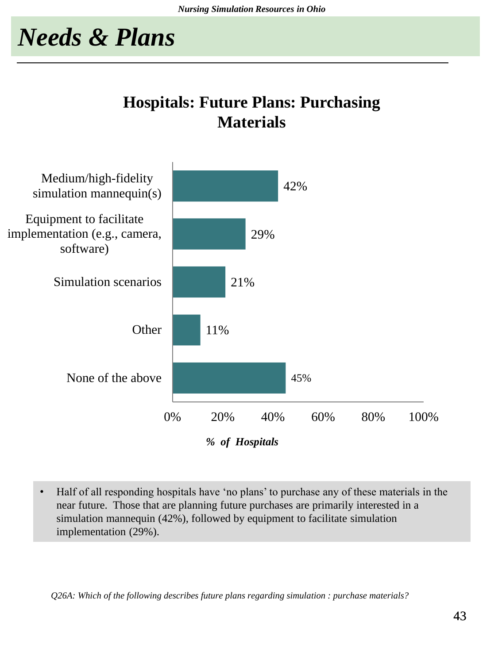### **Hospitals: Future Plans: Purchasing Materials**



• Half of all responding hospitals have 'no plans' to purchase any of these materials in the near future. Those that are planning future purchases are primarily interested in a simulation mannequin (42%), followed by equipment to facilitate simulation implementation (29%).

*Q26A: Which of the following describes future plans regarding simulation : purchase materials?*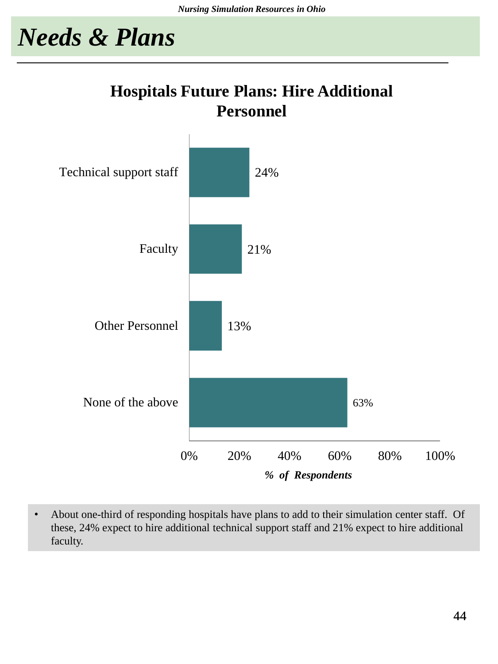### **Hospitals Future Plans: Hire Additional Personnel**



• About one-third of responding hospitals have plans to add to their simulation center staff. Of these, 24% expect to hire additional technical support staff and 21% expect to hire additional faculty.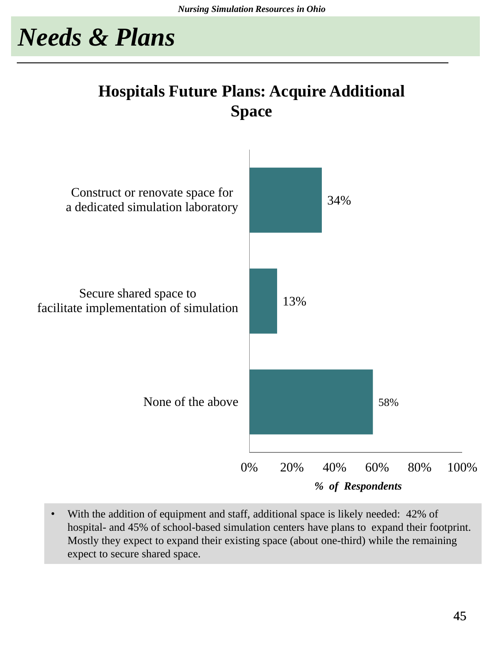### **Hospitals Future Plans: Acquire Additional Space**



• With the addition of equipment and staff, additional space is likely needed: 42% of hospital- and 45% of school-based simulation centers have plans to expand their footprint. Mostly they expect to expand their existing space (about one-third) while the remaining expect to secure shared space.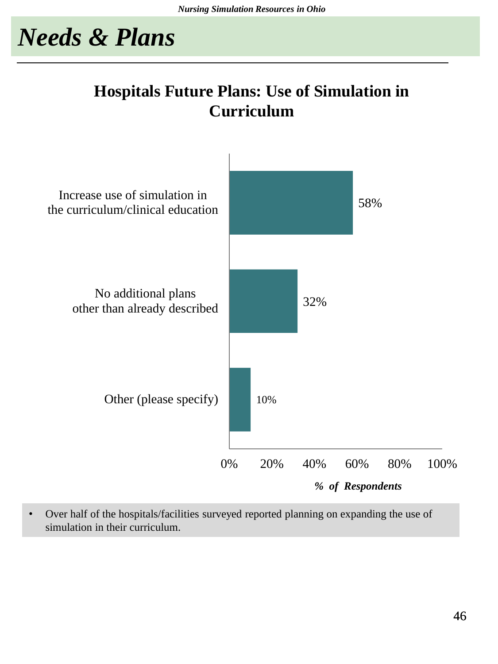### **Hospitals Future Plans: Use of Simulation in Curriculum**



• Over half of the hospitals/facilities surveyed reported planning on expanding the use of simulation in their curriculum.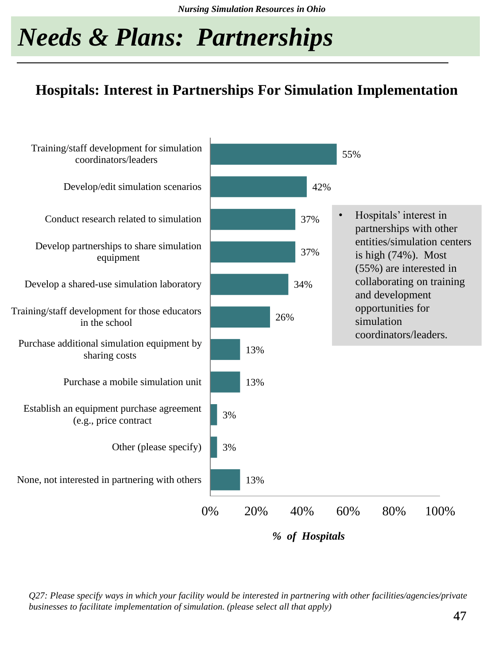# *Needs & Plans: Partnerships*

#### **Hospitals: Interest in Partnerships For Simulation Implementation**



*Q27: Please specify ways in which your facility would be interested in partnering with other facilities/agencies/private businesses to facilitate implementation of simulation. (please select all that apply)*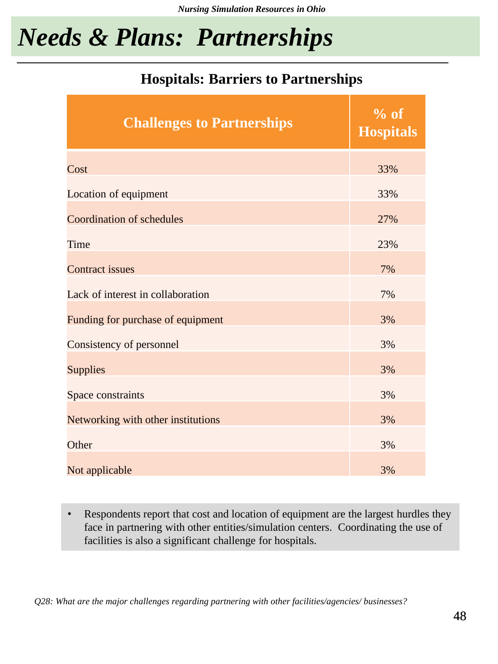## *Needs & Plans: Partnerships*

#### **Hospitals: Barriers to Partnerships**

| <b>Challenges to Partnerships</b>  | % of<br><b>Hospitals</b> |
|------------------------------------|--------------------------|
| Cost                               | 33%                      |
| Location of equipment              | 33%                      |
| Coordination of schedules          | 27%                      |
| Time                               | 23%                      |
| <b>Contract issues</b>             | 7%                       |
| Lack of interest in collaboration  | 7%                       |
| Funding for purchase of equipment  | 3%                       |
| Consistency of personnel           | 3%                       |
| <b>Supplies</b>                    | 3%                       |
| Space constraints                  | 3%                       |
| Networking with other institutions | 3%                       |
| Other                              | 3%                       |
| Not applicable                     | 3%                       |

• Respondents report that cost and location of equipment are the largest hurdles they face in partnering with other entities/simulation centers. Coordinating the use of facilities is also a significant challenge for hospitals.

*Q28: What are the major challenges regarding partnering with other facilities/agencies/ businesses?*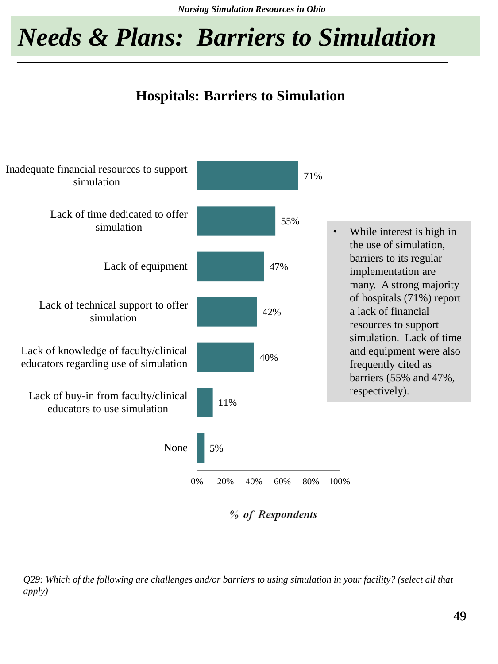*Nursing Simulation Resources in Ohio*

## *Needs & Plans: Barriers to Simulation*

### **Hospitals: Barriers to Simulation**



% of Respondents

*Q29: Which of the following are challenges and/or barriers to using simulation in your facility? (select all that apply)*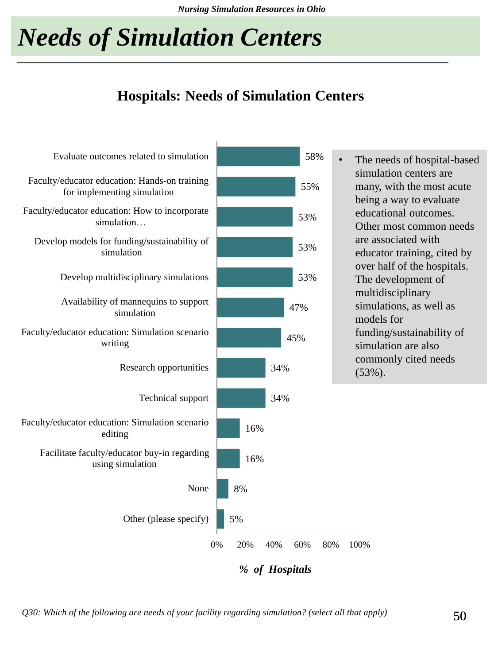*Nursing Simulation Resources in Ohio*

# *Needs of Simulation Centers*

### **Hospitals: Needs of Simulation Centers**



*Q30: Which of the following are needs of your facility regarding simulation? (select all that apply)*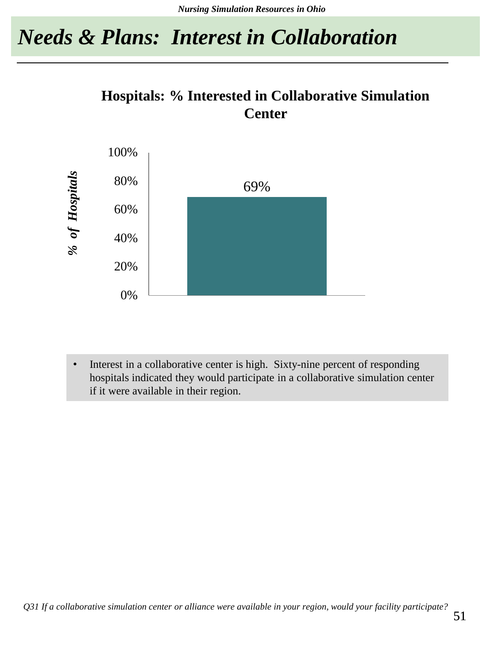## *Needs & Plans: Interest in Collaboration*

### **Hospitals: % Interested in Collaborative Simulation Center**



• Interest in a collaborative center is high. Sixty-nine percent of responding hospitals indicated they would participate in a collaborative simulation center if it were available in their region.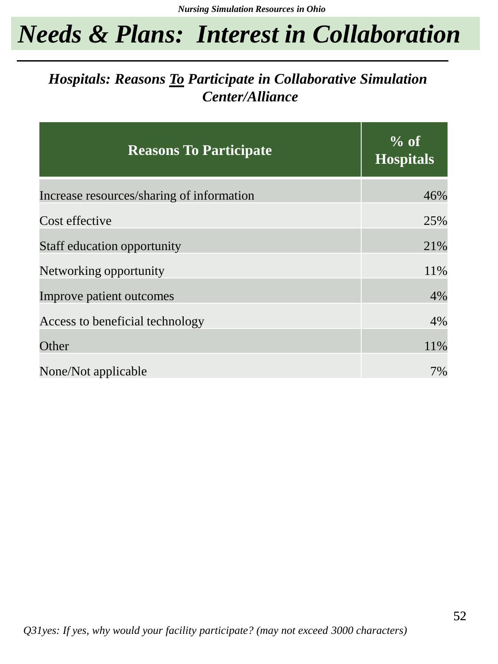## *Needs & Plans: Interest in Collaboration*

### *Hospitals: Reasons To Participate in Collaborative Simulation Center/Alliance*

| <b>Reasons To Participate</b>             | $%$ of<br><b>Hospitals</b> |
|-------------------------------------------|----------------------------|
| Increase resources/sharing of information | 46%                        |
| Cost effective                            | 25%                        |
| Staff education opportunity               | 21%                        |
| Networking opportunity                    | 11%                        |
| Improve patient outcomes                  | 4%                         |
| Access to beneficial technology           | 4%                         |
| Other                                     | 11%                        |
| None/Not applicable                       | 7%                         |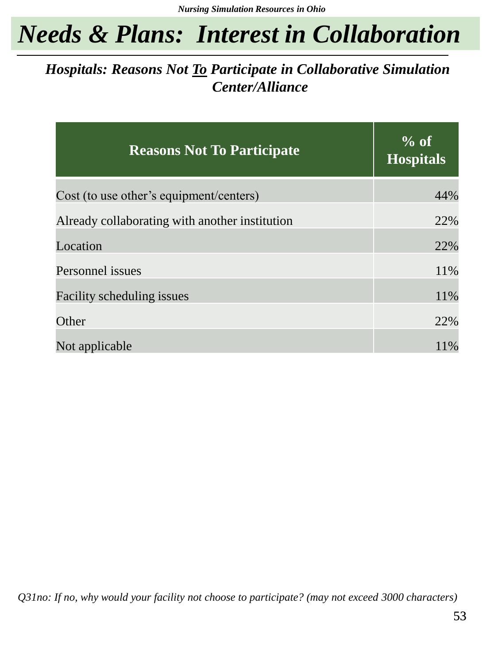## *Needs & Plans: Interest in Collaboration*

### *Hospitals: Reasons Not To Participate in Collaborative Simulation Center/Alliance*

| <b>Reasons Not To Participate</b>              | % of<br><b>Hospitals</b> |
|------------------------------------------------|--------------------------|
| Cost (to use other's equipment/centers)        | 44%                      |
| Already collaborating with another institution | 22%                      |
| Location                                       | 22%                      |
| Personnel issues                               | 11%                      |
| <b>Facility scheduling issues</b>              | 11%                      |
| Other                                          | 22%                      |
| Not applicable                                 | 11%                      |

*Q31no: If no, why would your facility not choose to participate? (may not exceed 3000 characters)*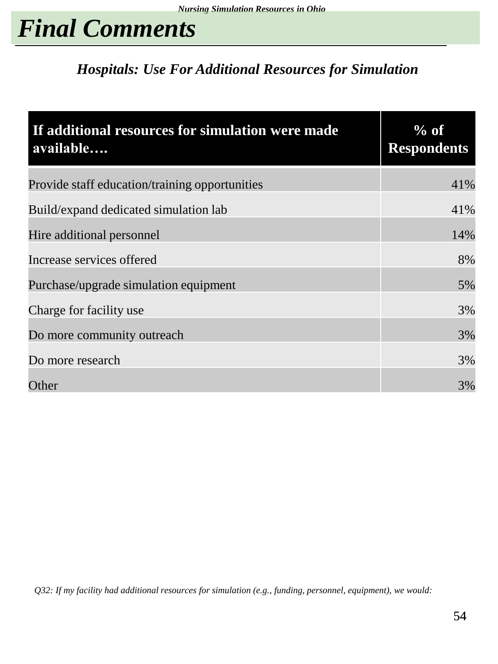# *Final Comments*

### *Hospitals: Use For Additional Resources for Simulation*

| If additional resources for simulation were made<br>available | $%$ of<br><b>Respondents</b> |
|---------------------------------------------------------------|------------------------------|
| Provide staff education/training opportunities                | 41%                          |
| Build/expand dedicated simulation lab                         | 41%                          |
| Hire additional personnel                                     | 14%                          |
| Increase services offered                                     | 8%                           |
| Purchase/upgrade simulation equipment                         | 5%                           |
| Charge for facility use                                       | 3%                           |
| Do more community outreach                                    | 3%                           |
| Do more research                                              | 3%                           |
| Other                                                         | 3%                           |

*Q32: If my facility had additional resources for simulation (e.g., funding, personnel, equipment), we would:*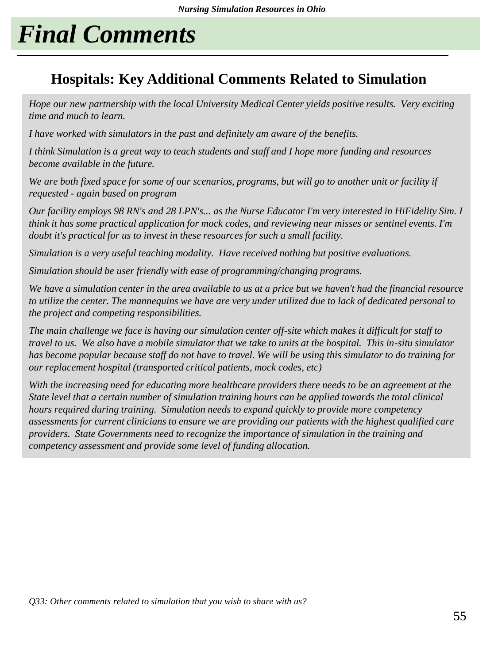# *Final Comments*

### **Hospitals: Key Additional Comments Related to Simulation**

*Hope our new partnership with the local University Medical Center yields positive results. Very exciting time and much to learn.*

*I have worked with simulators in the past and definitely am aware of the benefits.*

*I think Simulation is a great way to teach students and staff and I hope more funding and resources become available in the future.*

*We are both fixed space for some of our scenarios, programs, but will go to another unit or facility if requested - again based on program*

*Our facility employs 98 RN's and 28 LPN's... as the Nurse Educator I'm very interested in HiFidelity Sim. I think it has some practical application for mock codes, and reviewing near misses or sentinel events. I'm doubt it's practical for us to invest in these resources for such a small facility.*

*Simulation is a very useful teaching modality. Have received nothing but positive evaluations.*

*Simulation should be user friendly with ease of programming/changing programs.*

*We have a simulation center in the area available to us at a price but we haven't had the financial resource to utilize the center. The mannequins we have are very under utilized due to lack of dedicated personal to the project and competing responsibilities.*

*The main challenge we face is having our simulation center off-site which makes it difficult for staff to travel to us. We also have a mobile simulator that we take to units at the hospital. This in-situ simulator has become popular because staff do not have to travel. We will be using this simulator to do training for our replacement hospital (transported critical patients, mock codes, etc)*

*With the increasing need for educating more healthcare providers there needs to be an agreement at the State level that a certain number of simulation training hours can be applied towards the total clinical hours required during training. Simulation needs to expand quickly to provide more competency assessments for current clinicians to ensure we are providing our patients with the highest qualified care providers. State Governments need to recognize the importance of simulation in the training and competency assessment and provide some level of funding allocation.*

*Q33: Other comments related to simulation that you wish to share with us?*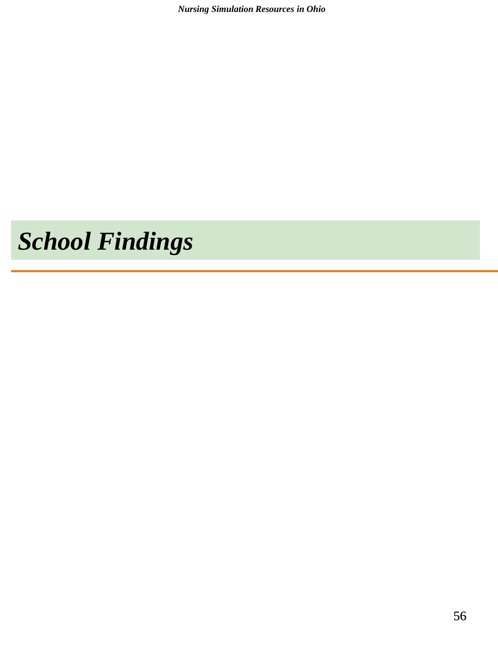*Nursing Simulation Resources in Ohio*

# *School Findings*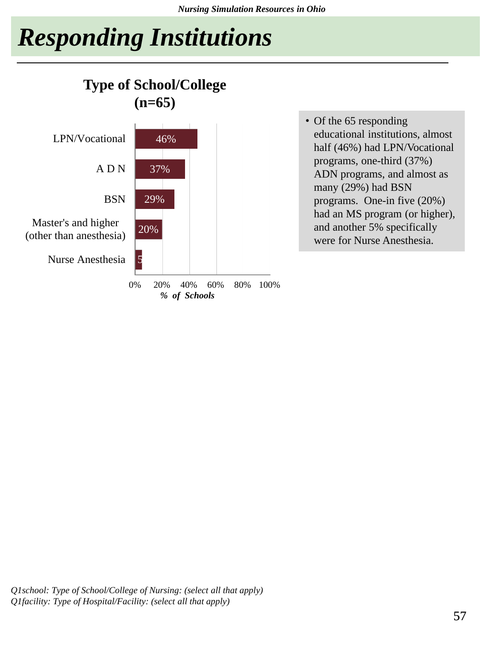# *Responding Institutions*



• Of the 65 responding educational institutions, almost half (46%) had LPN/Vocational programs, one-third (37%) ADN programs, and almost as many (29%) had BSN programs. One-in five (20%) had an MS program (or higher), and another 5% specifically were for Nurse Anesthesia.

*Q1school: Type of School/College of Nursing: (select all that apply) Q1facility: Type of Hospital/Facility: (select all that apply)*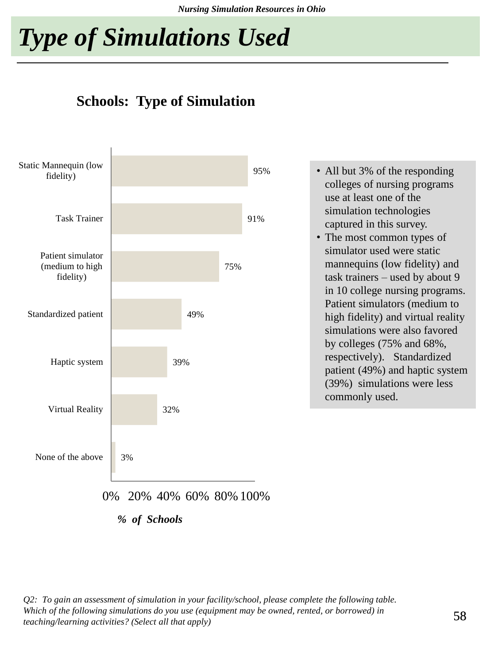*Nursing Simulation Resources in Ohio*

# *Type of Simulations Used*





- All but 3% of the responding colleges of nursing programs use at least one of the simulation technologies captured in this survey.
- The most common types of simulator used were static mannequins (low fidelity) and task trainers – used by about 9 in 10 college nursing programs. Patient simulators (medium to high fidelity) and virtual reality simulations were also favored by colleges (75% and 68%, respectively). Standardized patient (49%) and haptic system (39%) simulations were less commonly used.

0% 20% 40% 60% 80% 100%

*% of Schools*

*Q2: To gain an assessment of simulation in your facility/school, please complete the following table. Which of the following simulations do you use (equipment may be owned, rented, or borrowed) in teaching/learning activities? (Select all that apply)*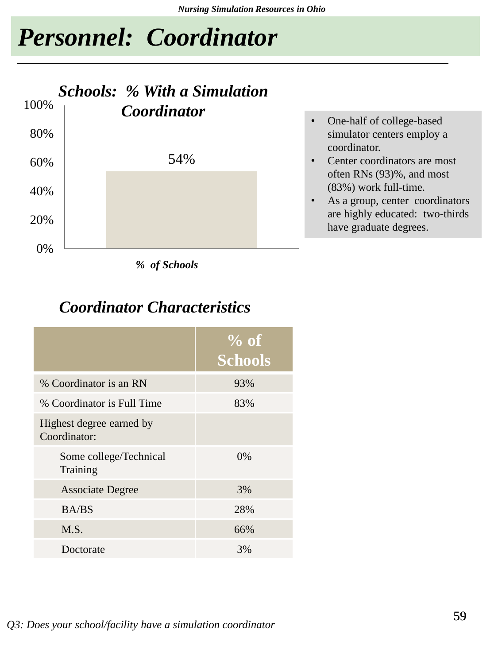## *Personnel: Coordinator*



*% of Schools*

### *Coordinator Characteristics*

|                                          | $%$ of<br><b>Schools</b> |
|------------------------------------------|--------------------------|
| % Coordinator is an RN                   | 93%                      |
| % Coordinator is Full Time               | 83%                      |
| Highest degree earned by<br>Coordinator: |                          |
| Some college/Technical<br>Training       | $0\%$                    |
| <b>Associate Degree</b>                  | 3%                       |
| <b>BA/BS</b>                             | 28%                      |
| M.S.                                     | 66%                      |
| Doctorate                                | 3%                       |

- One-half of college-based simulator centers employ a coordinator.
- Center coordinators are most often RNs (93)%, and most (83%) work full-time.
- As a group, center coordinators are highly educated: two-thirds have graduate degrees.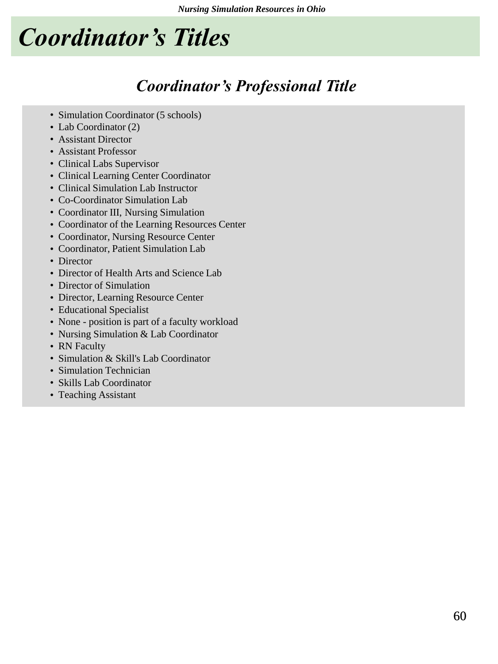# *Coordinator's Titles*

### *Coordinator's Professional Title*

- Simulation Coordinator (5 schools)
- Lab Coordinator (2)
- Assistant Director
- Assistant Professor
- Clinical Labs Supervisor
- Clinical Learning Center Coordinator
- Clinical Simulation Lab Instructor
- Co-Coordinator Simulation Lab
- Coordinator III, Nursing Simulation
- Coordinator of the Learning Resources Center
- Coordinator, Nursing Resource Center
- Coordinator, Patient Simulation Lab
- Director
- Director of Health Arts and Science Lab
- Director of Simulation
- Director, Learning Resource Center
- Educational Specialist
- None position is part of a faculty workload
- Nursing Simulation & Lab Coordinator
- RN Faculty
- Simulation & Skill's Lab Coordinator
- Simulation Technician
- Skills Lab Coordinator
- Teaching Assistant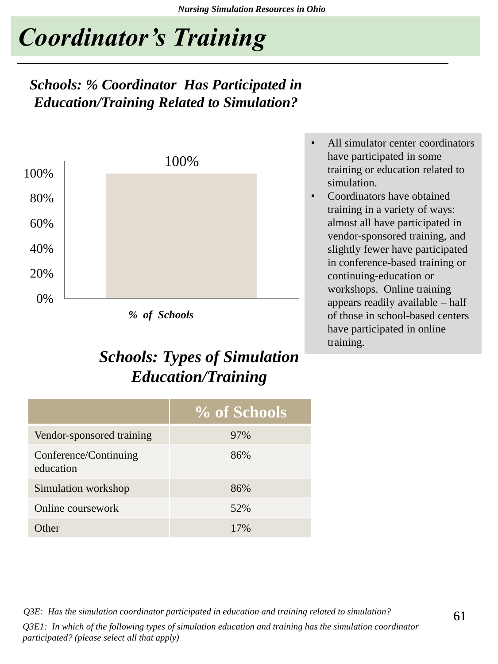# *Coordinator's Training*

### *Schools: % Coordinator Has Participated in Education/Training Related to Simulation?*



### *Schools: Types of Simulation Education/Training*

- All simulator center coordinators have participated in some training or education related to simulation.
- Coordinators have obtained training in a variety of ways: almost all have participated in vendor-sponsored training, and slightly fewer have participated in conference-based training or continuing-education or workshops. Online training appears readily available – half of those in school-based centers have participated in online training.

|                                    | % of Schools |
|------------------------------------|--------------|
| Vendor-sponsored training          | 97%          |
| Conference/Continuing<br>education | 86%          |
| Simulation workshop                | 86%          |
| Online coursework                  | 52%          |
| <b>Ither</b>                       | 17%          |

*Q3E: Has the simulation coordinator participated in education and training related to simulation? Q3E1: In which of the following types of simulation education and training has the simulation coordinator participated? (please select all that apply)*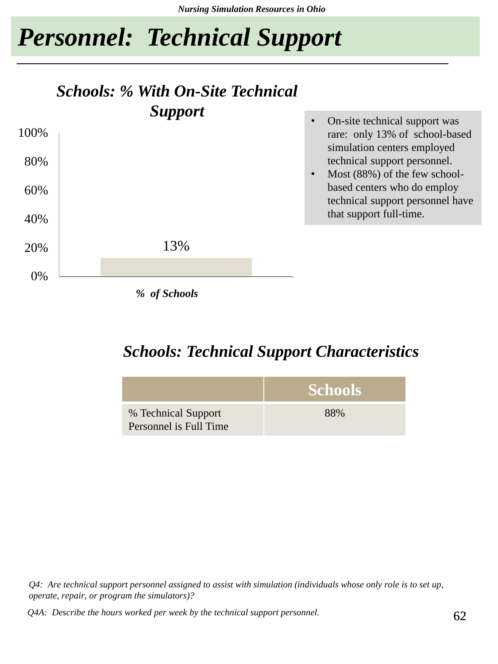# *Personnel: Technical Support*

### *Schools: % With On-Site Technical Support*



*Schools: Technical Support Characteristics*



*Q4: Are technical support personnel assigned to assist with simulation (individuals whose only role is to set up, operate, repair, or program the simulators)?*

*Q4A: Describe the hours worked per week by the technical support personnel.*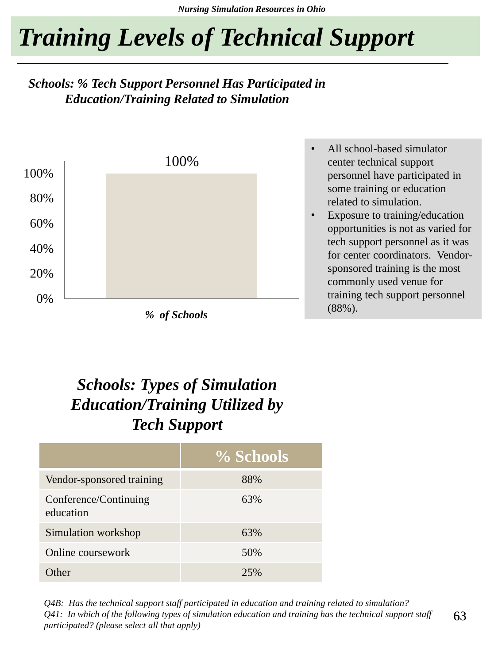# *Training Levels of Technical Support*

#### *Schools: % Tech Support Personnel Has Participated in Education/Training Related to Simulation*



*% of Schools*

- All school-based simulator center technical support personnel have participated in some training or education related to simulation.
- Exposure to training/education opportunities is not as varied for tech support personnel as it was for center coordinators. Vendorsponsored training is the most commonly used venue for training tech support personnel (88%).

### *Schools: Types of Simulation Education/Training Utilized by Tech Support*

|                                    | % Schools |
|------------------------------------|-----------|
| Vendor-sponsored training          | 88%       |
| Conference/Continuing<br>education | 63%       |
| Simulation workshop                | 63%       |
| Online coursework                  | 50%       |
| <b>Other</b>                       | 25%       |

*Q4B: Has the technical support staff participated in education and training related to simulation? Q41: In which of the following types of simulation education and training has the technical support staff participated? (please select all that apply)*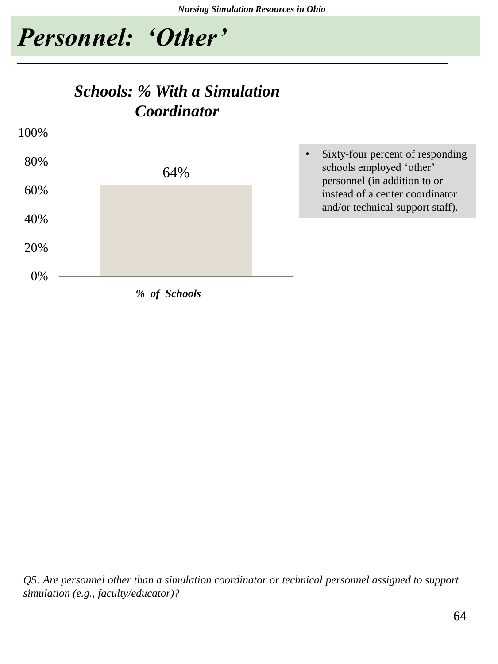schools employed 'other' personnel (in addition to or instead of a center coordinator and/or technical support staff).



### *Schools: % With a Simulation Coordinator*



*Q5: Are personnel other than a simulation coordinator or technical personnel assigned to support simulation (e.g., faculty/educator)?*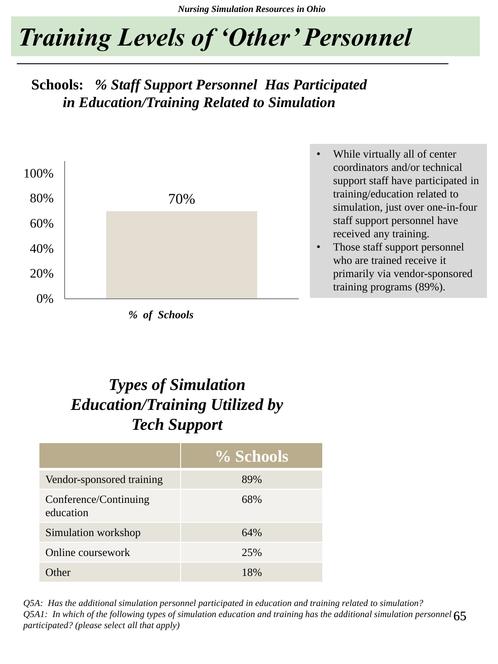# *Training Levels of 'Other' Personnel*

### **Schools:** *% Staff Support Personnel Has Participated in Education/Training Related to Simulation*



*% of Schools*

- While virtually all of center coordinators and/or technical support staff have participated in training/education related to simulation, just over one-in-four staff support personnel have received any training.
- Those staff support personnel who are trained receive it primarily via vendor-sponsored training programs (89%).

### *Types of Simulation Education/Training Utilized by Tech Support*

|                                    | % Schools |
|------------------------------------|-----------|
| Vendor-sponsored training          | 89%       |
| Conference/Continuing<br>education | 68%       |
| Simulation workshop                | 64%       |
| Online coursework                  | 25%       |
| )ther                              | 18%       |

Q5A1: In which of the following types of simulation education and training has the additional simulation personnel  $65$ *Q5A: Has the additional simulation personnel participated in education and training related to simulation? participated? (please select all that apply)*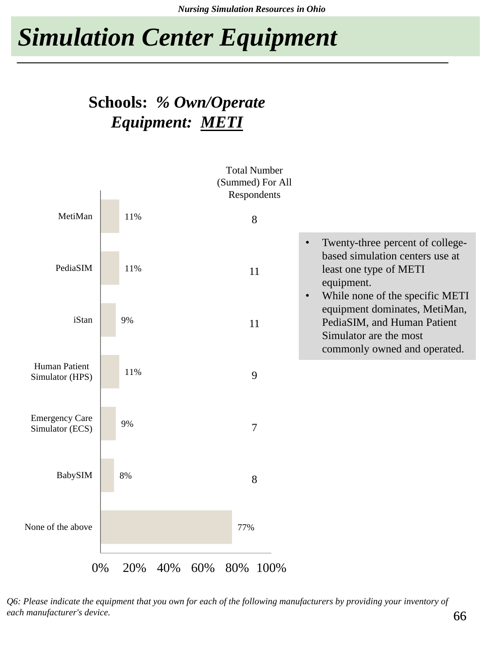### **Schools:** *% Own/Operate Equipment: METI*



*Q6: Please indicate the equipment that you own for each of the following manufacturers by providing your inventory of each manufacturer's device.*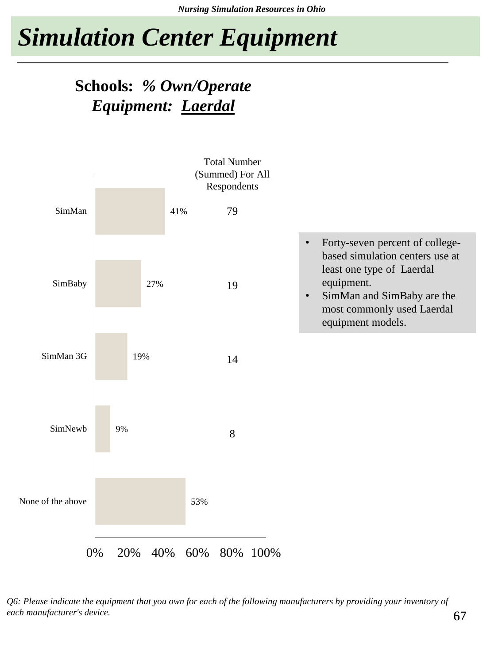### **Schools:** *% Own/Operate Equipment: Laerdal*



*Q6: Please indicate the equipment that you own for each of the following manufacturers by providing your inventory of each manufacturer's device.*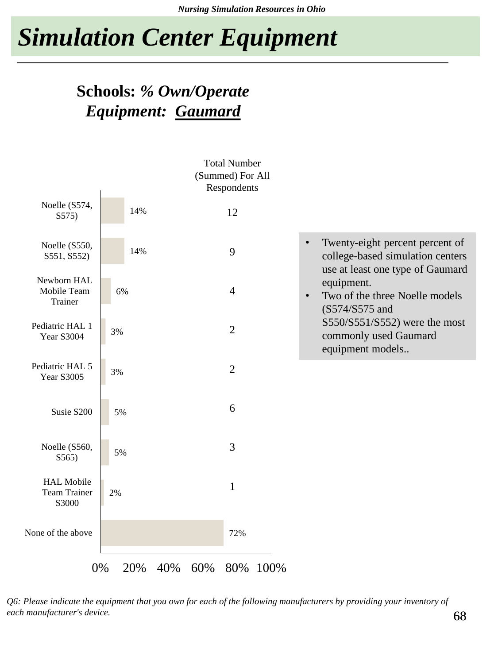### **Schools:** *% Own/Operate Equipment: Gaumard*



*Q6: Please indicate the equipment that you own for each of the following manufacturers by providing your inventory of each manufacturer's device.*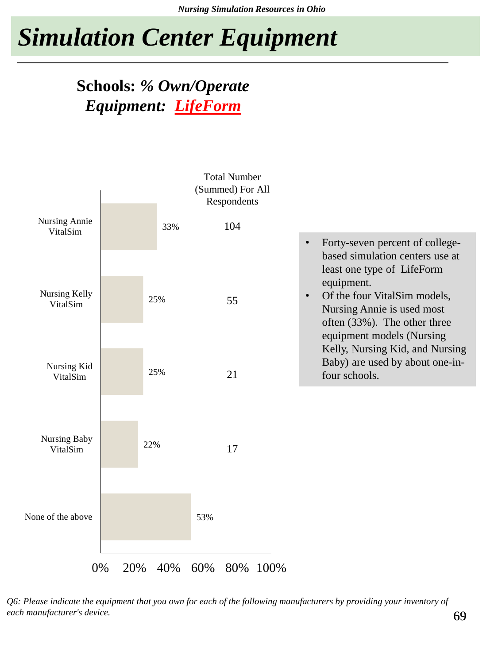### **Schools:** *% Own/Operate Equipment: LifeForm*



*Q6: Please indicate the equipment that you own for each of the following manufacturers by providing your inventory of each manufacturer's device.*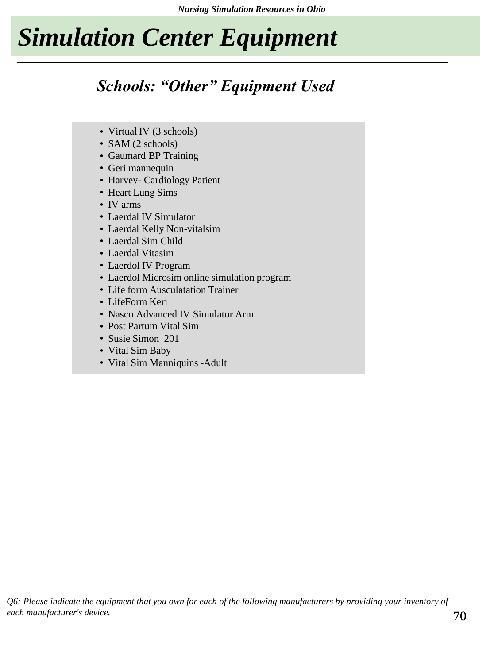### *Schools: "Other" Equipment Used*

- Virtual IV (3 schools)
- SAM (2 schools)
- Gaumard BP Training
- Geri mannequin
- Harvey- Cardiology Patient
- Heart Lung Sims
- IV arms
- Laerdal IV Simulator
- Laerdal Kelly Non-vitalsim
- Laerdal Sim Child
- Laerdal Vitasim
- Laerdol IV Program
- Laerdol Microsim online simulation program
- Life form Ausculatation Trainer
- LifeForm Keri
- Nasco Advanced IV Simulator Arm
- Post Partum Vital Sim
- Susie Simon 201
- Vital Sim Baby
- Vital Sim Manniquins -Adult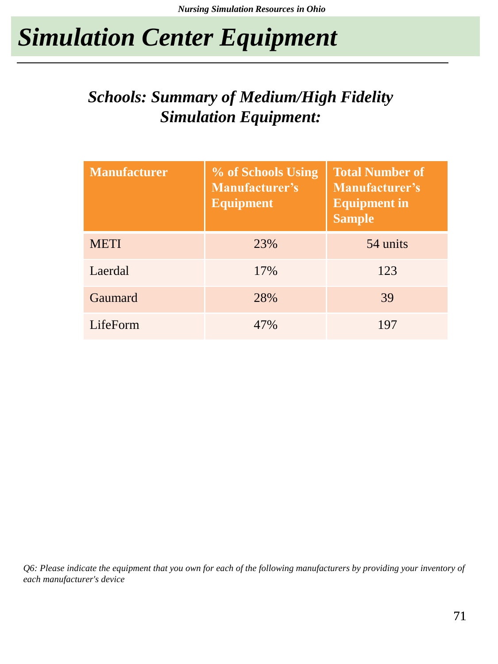### *Schools: Summary of Medium/High Fidelity Simulation Equipment:*

| <b>Manufacturer</b> | % of Schools Using<br><b>Manufacturer's</b><br><b>Equipment</b> | <b>Total Number of</b><br><b>Manufacturer's</b><br><b>Equipment in</b><br><b>Sample</b> |
|---------------------|-----------------------------------------------------------------|-----------------------------------------------------------------------------------------|
| <b>METI</b>         | 23%                                                             | 54 units                                                                                |
| Laerdal             | 17%                                                             | 123                                                                                     |
| Gaumard             | 28%                                                             | 39                                                                                      |
| LifeForm            | 47%                                                             | 197                                                                                     |

*Q6: Please indicate the equipment that you own for each of the following manufacturers by providing your inventory of each manufacturer's device*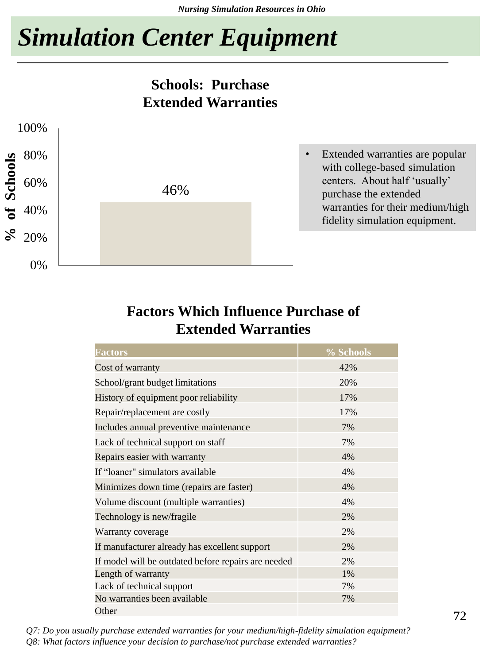#### **Schools: Purchase Extended Warranties**



#### **Factors Which Influence Purchase of Extended Warranties**

| <b>Factors</b>                                      | % Schools |
|-----------------------------------------------------|-----------|
| Cost of warranty                                    | 42%       |
| School/grant budget limitations                     | 20%       |
| History of equipment poor reliability               | 17%       |
| Repair/replacement are costly                       | 17%       |
| Includes annual preventive maintenance              | 7%        |
| Lack of technical support on staff                  | 7%        |
| Repairs easier with warranty                        | 4%        |
| If "loaner" simulators available                    | 4%        |
| Minimizes down time (repairs are faster)            | 4%        |
| Volume discount (multiple warranties)               | 4%        |
| Technology is new/fragile                           | 2%        |
| Warranty coverage                                   | 2%        |
| If manufacturer already has excellent support       | 2%        |
| If model will be outdated before repairs are needed | 2%        |
| Length of warranty                                  | 1%        |
| Lack of technical support                           | 7%        |
| No warranties been available                        | 7%        |
| Other                                               |           |

*Q7: Do you usually purchase extended warranties for your medium/high-fidelity simulation equipment? Q8: What factors influence your decision to purchase/not purchase extended warranties?*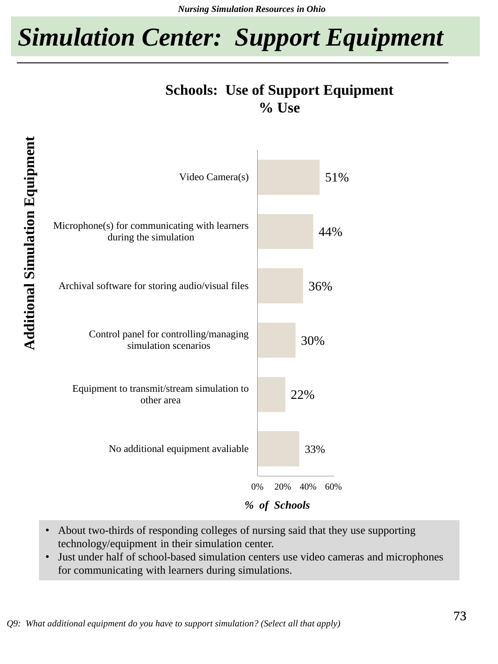## *Simulation Center: Support Equipment*

#### **Schools: Use of Support Equipment % Use**



- About two-thirds of responding colleges of nursing said that they use supporting technology/equipment in their simulation center.
- Just under half of school-based simulation centers use video cameras and microphones for communicating with learners during simulations.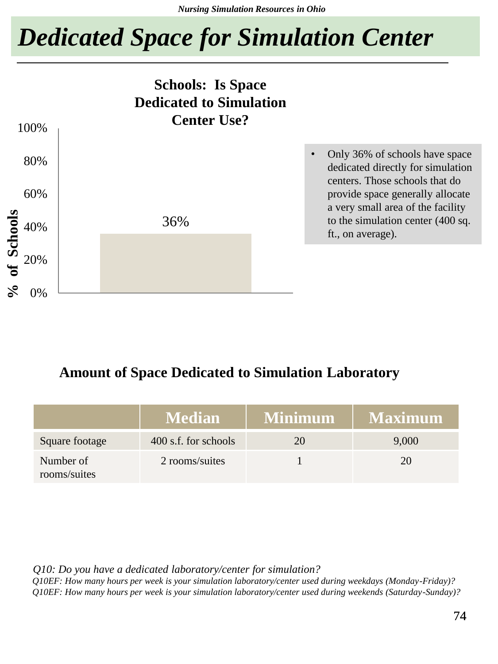# *Dedicated Space for Simulation Center*



#### **Amount of Space Dedicated to Simulation Laboratory**

|                           | <b>Median</b>        | <b>Minimum</b> | <b>Maximum</b> |
|---------------------------|----------------------|----------------|----------------|
| Square footage            | 400 s.f. for schools | 20             | 9,000          |
| Number of<br>rooms/suites | 2 rooms/suites       |                |                |

*Q10: Do you have a dedicated laboratory/center for simulation?*

*Q10EF: How many hours per week is your simulation laboratory/center used during weekdays (Monday-Friday)? Q10EF: How many hours per week is your simulation laboratory/center used during weekends (Saturday-Sunday)?*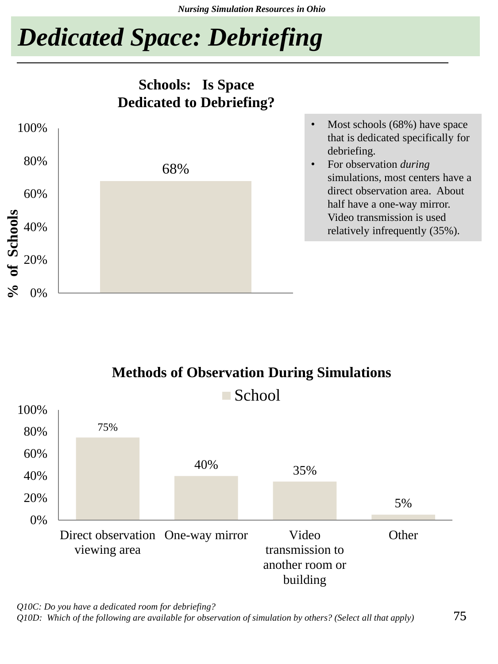# *Dedicated Space: Debriefing*







*Q10C: Do you have a dedicated room for debriefing?*

*Q10D: Which of the following are available for observation of simulation by others? (Select all that apply)*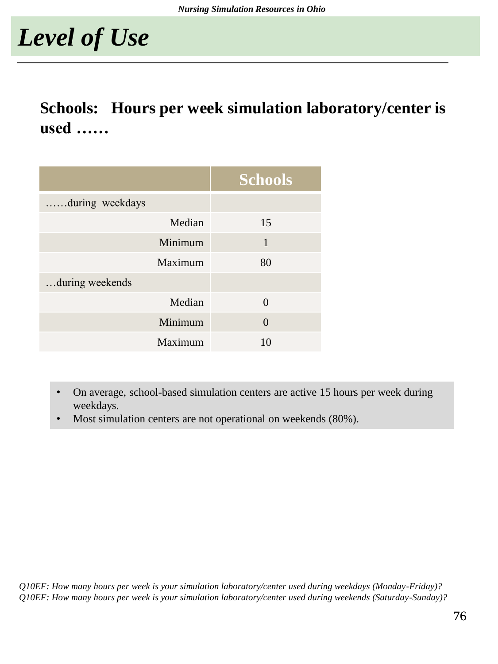# *Level of Use*

### **Schools: Hours per week simulation laboratory/center is used ……**

|                  | <b>Schools</b> |
|------------------|----------------|
| .during weekdays |                |
| Median           | 15             |
| Minimum          | 1              |
| Maximum          | 80             |
| during weekends  |                |
| Median           | 0              |
| Minimum          | 0              |
| Maximum          | 10             |

- On average, school-based simulation centers are active 15 hours per week during weekdays.
- Most simulation centers are not operational on weekends (80%).

*Q10EF: How many hours per week is your simulation laboratory/center used during weekdays (Monday-Friday)? Q10EF: How many hours per week is your simulation laboratory/center used during weekends (Saturday-Sunday)?*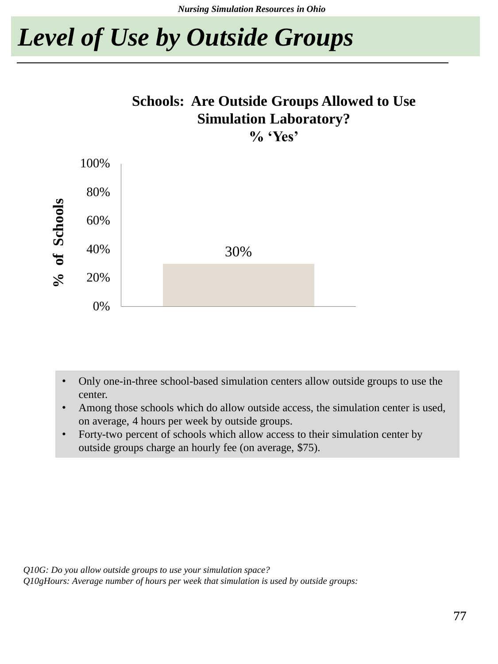# *Level of Use by Outside Groups*

### **Schools: Are Outside Groups Allowed to Use Simulation Laboratory?**

**% 'Yes'**



- Only one-in-three school-based simulation centers allow outside groups to use the center.
- Among those schools which do allow outside access, the simulation center is used, on average, 4 hours per week by outside groups.
- Forty-two percent of schools which allow access to their simulation center by outside groups charge an hourly fee (on average, \$75).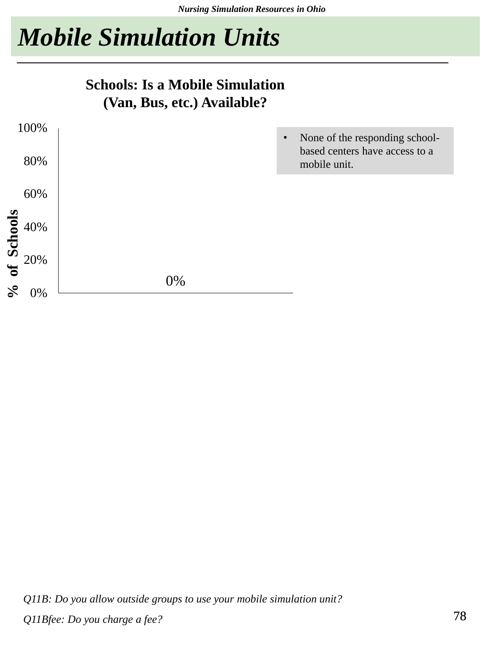# *Mobile Simulation Units*

#### **Schools: Is a Mobile Simulation (Van, Bus, etc.) Available?**

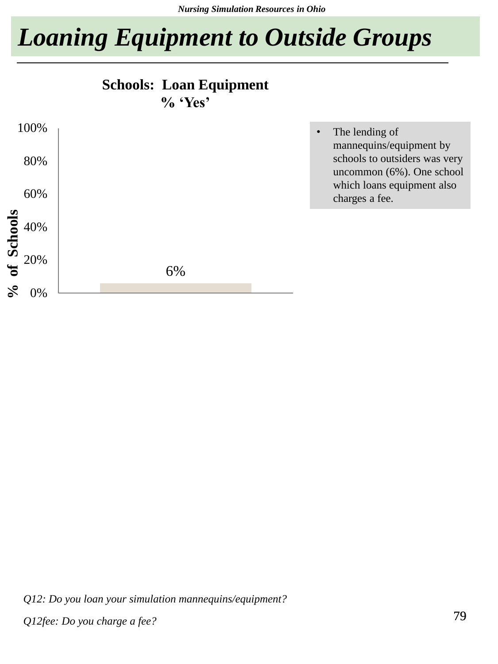*Nursing Simulation Resources in Ohio*

# *Loaning Equipment to Outside Groups*





*Q12: Do you loan your simulation mannequins/equipment?*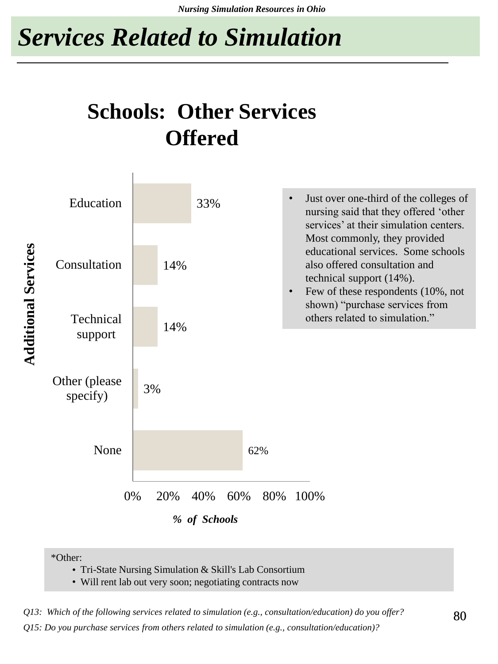# *Services Related to Simulation*

## **Schools: Other Services Offered**



<sup>\*</sup>Other:

• Tri-State Nursing Simulation & Skill's Lab Consortium

• Will rent lab out very soon; negotiating contracts now

*Q13: Which of the following services related to simulation (e.g., consultation/education) do you offer?*

*Q15: Do you purchase services from others related to simulation (e.g., consultation/education)?*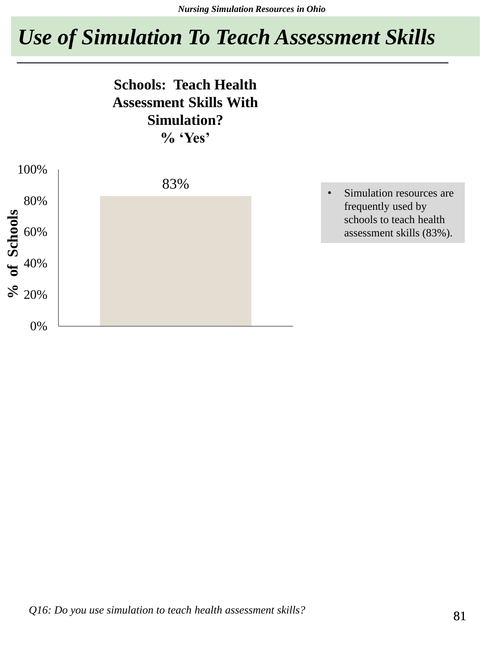## *Use of Simulation To Teach Assessment Skills*

#### **Schools: Teach Health Assessment Skills With Simulation? % 'Yes'**



• Simulation resources are frequently used by schools to teach health assessment skills (83%).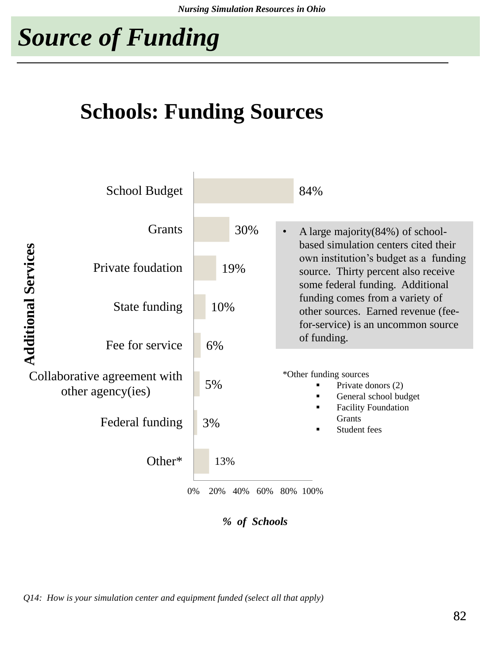# *Source of Funding*

## **Schools: Funding Sources**



*% of Schools*

*Q14: How is your simulation center and equipment funded (select all that apply)*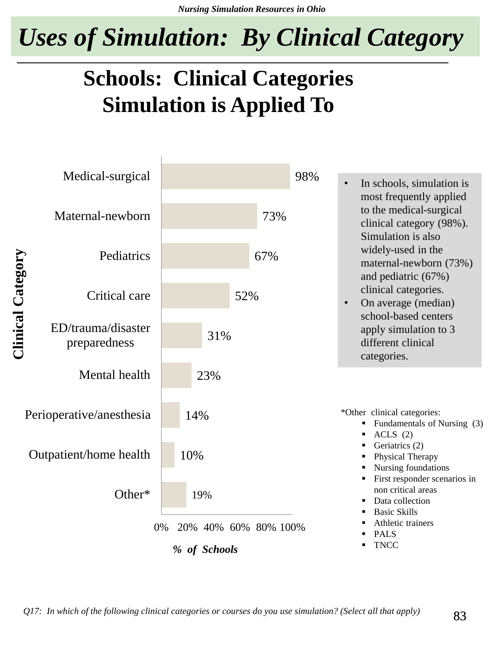*Uses of Simulation: By Clinical Category*

## **Schools: Clinical Categories Simulation is Applied To**

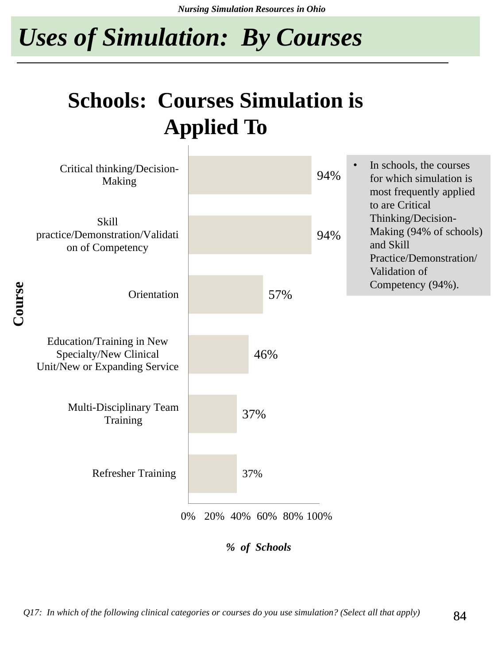*Nursing Simulation Resources in Ohio*

*Uses of Simulation: By Courses*

## **Schools: Courses Simulation is Applied To**



*% of Schools*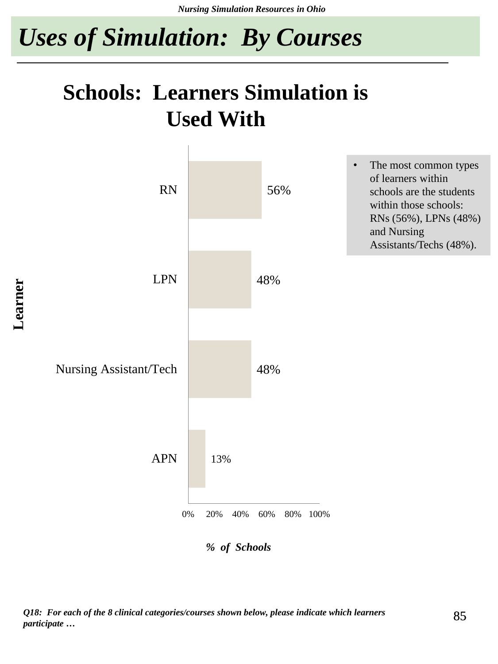*Nursing Simulation Resources in Ohio*

*Uses of Simulation: By Courses*

## **Schools: Learners Simulation is Used With**



*Q18: For each of the 8 clinical categories/courses shown below, please indicate which learners participate …*

85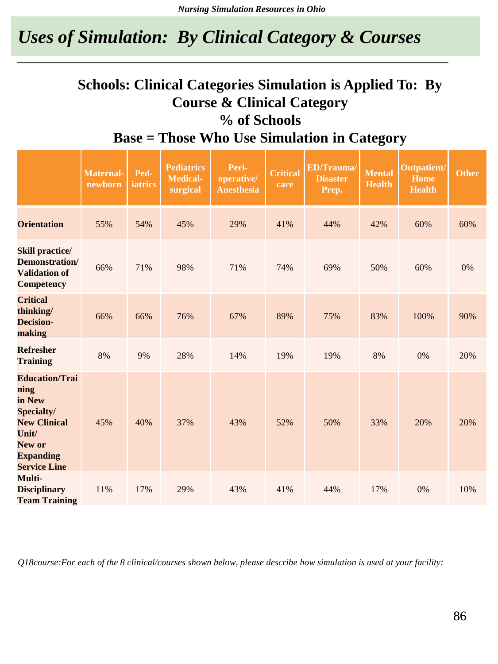### *Uses of Simulation: By Clinical Category & Courses*

#### **Schools: Clinical Categories Simulation is Applied To: By Course & Clinical Category % of Schools Base = Those Who Use Simulation in Category**

|                                                                                                                                            | <b>Maternal-</b><br>newborn | Ped-<br><b>iatrics</b> | <b>Pediatrics</b><br><b>Medical-</b><br>surgical | Peri-<br>operative/<br><b>Anesthesia</b> | <b>Critical</b><br>care | <b>ED/Trauma/</b><br><b>Disaster</b><br>Prep. | <b>Mental</b><br><b>Health</b> | <b>Outpatient/</b><br><b>Home</b><br><b>Health</b> | <b>Other</b> |
|--------------------------------------------------------------------------------------------------------------------------------------------|-----------------------------|------------------------|--------------------------------------------------|------------------------------------------|-------------------------|-----------------------------------------------|--------------------------------|----------------------------------------------------|--------------|
| <b>Orientation</b>                                                                                                                         | 55%                         | 54%                    | 45%                                              | 29%                                      | 41%                     | 44%                                           | 42%                            | 60%                                                | 60%          |
| <b>Skill practice/</b><br>Demonstration/<br><b>Validation of</b><br><b>Competency</b>                                                      | 66%                         | 71%                    | 98%                                              | 71%                                      | 74%                     | 69%                                           | 50%                            | 60%                                                | 0%           |
| <b>Critical</b><br>thinking/<br><b>Decision-</b><br>making                                                                                 | 66%                         | 66%                    | 76%                                              | 67%                                      | 89%                     | 75%                                           | 83%                            | 100%                                               | 90%          |
| <b>Refresher</b><br><b>Training</b>                                                                                                        | 8%                          | 9%                     | 28%                                              | 14%                                      | 19%                     | 19%                                           | 8%                             | 0%                                                 | 20%          |
| <b>Education/Trai</b><br>ning<br>in New<br>Specialty/<br><b>New Clinical</b><br>Unit/<br>New or<br><b>Expanding</b><br><b>Service Line</b> | 45%                         | 40%                    | 37%                                              | 43%                                      | 52%                     | 50%                                           | 33%                            | 20%                                                | 20%          |
| Multi-<br><b>Disciplinary</b><br><b>Team Training</b>                                                                                      | 11%                         | 17%                    | 29%                                              | 43%                                      | 41%                     | 44%                                           | 17%                            | 0%                                                 | 10%          |

*Q18course:For each of the 8 clinical/courses shown below, please describe how simulation is used at your facility:*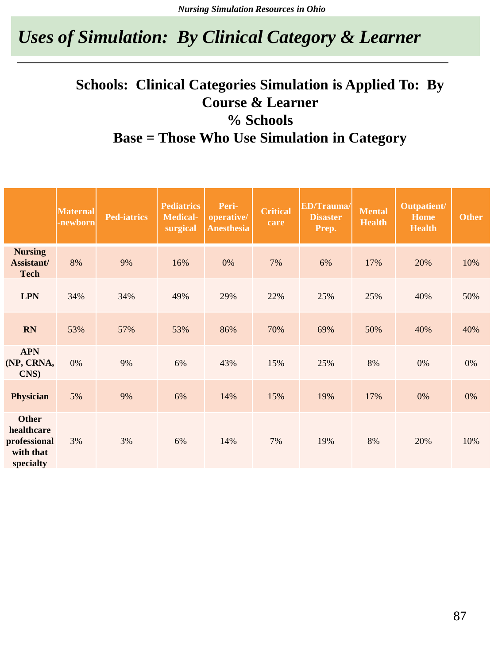### *Uses of Simulation: By Clinical Category & Learner*

#### **Schools: Clinical Categories Simulation is Applied To: By Course & Learner % Schools Base = Those Who Use Simulation in Category**

|                                                                      | <b>Maternal</b><br>-newborn | <b>Ped-iatrics</b> | <b>Pediatrics</b><br>Medical-<br>surgical | Peri-<br>operative/<br><b>Anesthesia</b> | <b>Critical</b><br>care | <b>ED/Trauma/</b><br><b>Disaster</b><br>Prep. | <b>Mental</b><br><b>Health</b> | Outpatient/<br>Home<br><b>Health</b> | <b>Other</b> |
|----------------------------------------------------------------------|-----------------------------|--------------------|-------------------------------------------|------------------------------------------|-------------------------|-----------------------------------------------|--------------------------------|--------------------------------------|--------------|
| <b>Nursing</b><br>Assistant/<br><b>Tech</b>                          | 8%                          | 9%                 | 16%                                       | 0%                                       | 7%                      | 6%                                            | 17%                            | 20%                                  | 10%          |
| <b>LPN</b>                                                           | 34%                         | 34%                | 49%                                       | 29%                                      | 22%                     | 25%                                           | 25%                            | 40%                                  | 50%          |
| <b>RN</b>                                                            | 53%                         | 57%                | 53%                                       | 86%                                      | 70%                     | 69%                                           | 50%                            | 40%                                  | 40%          |
| <b>APN</b><br>(NP, CRNA,<br>CNS)                                     | 0%                          | 9%                 | 6%                                        | 43%                                      | 15%                     | 25%                                           | 8%                             | 0%                                   | 0%           |
| <b>Physician</b>                                                     | 5%                          | 9%                 | 6%                                        | 14%                                      | 15%                     | 19%                                           | 17%                            | 0%                                   | 0%           |
| <b>Other</b><br>healthcare<br>professional<br>with that<br>specialty | 3%                          | 3%                 | 6%                                        | 14%                                      | 7%                      | 19%                                           | 8%                             | 20%                                  | 10%          |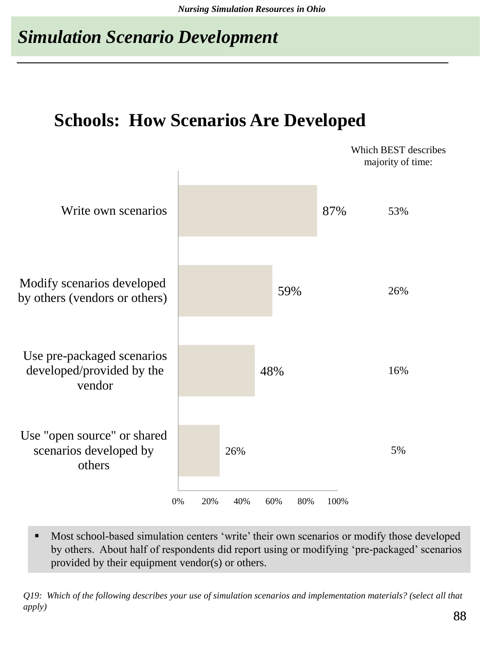### *Simulation Scenario Development*

### **Schools: How Scenarios Are Developed**



**Most school-based simulation centers 'write' their own scenarios or modify those developed** by others. About half of respondents did report using or modifying 'pre-packaged' scenarios provided by their equipment vendor(s) or others.

*Q19: Which of the following describes your use of simulation scenarios and implementation materials? (select all that apply)*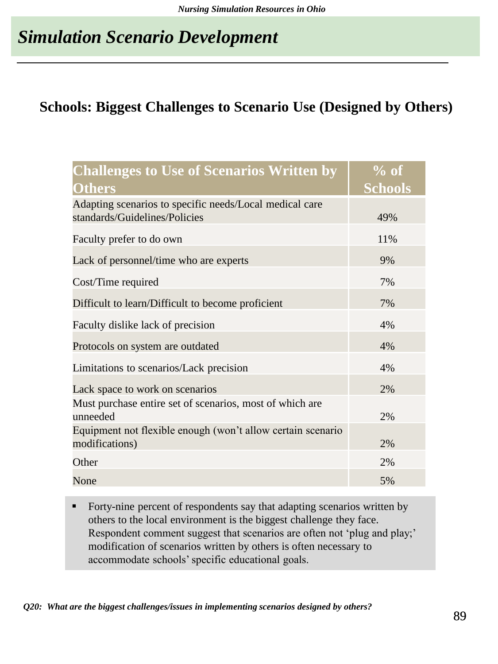### *Simulation Scenario Development*

#### **Schools: Biggest Challenges to Scenario Use (Designed by Others)**

| <b>Challenges to Use of Scenarios Written by</b>                                         | $%$ of         |
|------------------------------------------------------------------------------------------|----------------|
| <b>Others</b>                                                                            | <b>Schools</b> |
| Adapting scenarios to specific needs/Local medical care<br>standards/Guidelines/Policies | 49%            |
| Faculty prefer to do own                                                                 | 11%            |
| Lack of personnel/time who are experts                                                   | 9%             |
| Cost/Time required                                                                       | 7%             |
| Difficult to learn/Difficult to become proficient                                        | 7%             |
| Faculty dislike lack of precision                                                        | 4%             |
| Protocols on system are outdated                                                         | 4%             |
| Limitations to scenarios/Lack precision                                                  | 4%             |
| Lack space to work on scenarios                                                          | 2%             |
| Must purchase entire set of scenarios, most of which are<br>unneeded                     | 2%             |
| Equipment not flexible enough (won't allow certain scenario<br>modifications)            | 2%             |
| Other                                                                                    | 2%             |
| None                                                                                     | 5%             |

Forty-nine percent of respondents say that adapting scenarios written by others to the local environment is the biggest challenge they face. Respondent comment suggest that scenarios are often not 'plug and play;' modification of scenarios written by others is often necessary to accommodate schools' specific educational goals.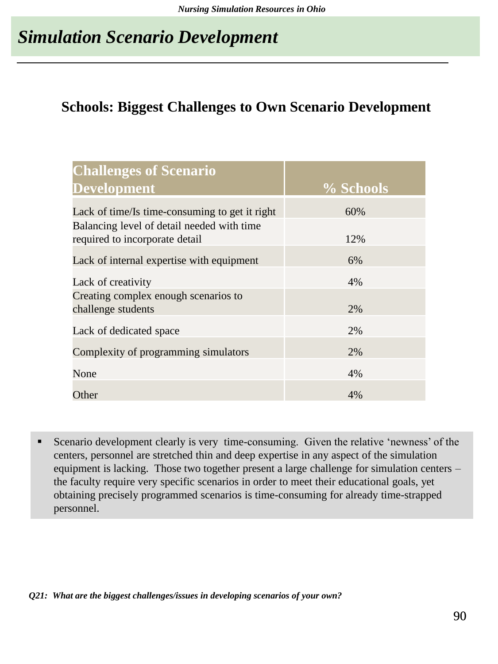### *Simulation Scenario Development*

#### **Schools: Biggest Challenges to Own Scenario Development**

| <b>Challenges of Scenario</b>                                                |           |
|------------------------------------------------------------------------------|-----------|
| <b>Development</b>                                                           | % Schools |
| Lack of time/Is time-consuming to get it right                               | 60%       |
| Balancing level of detail needed with time<br>required to incorporate detail | 12%       |
|                                                                              |           |
| Lack of internal expertise with equipment                                    | 6%        |
| Lack of creativity                                                           | 4%        |
| Creating complex enough scenarios to                                         |           |
| challenge students                                                           | 2%        |
| Lack of dedicated space                                                      | 2%        |
| Complexity of programming simulators                                         | 2%        |
| None                                                                         | 4%        |
| Other                                                                        | 4%        |

Scenario development clearly is very time-consuming. Given the relative 'newness' of the centers, personnel are stretched thin and deep expertise in any aspect of the simulation equipment is lacking. Those two together present a large challenge for simulation centers – the faculty require very specific scenarios in order to meet their educational goals, yet obtaining precisely programmed scenarios is time-consuming for already time-strapped personnel.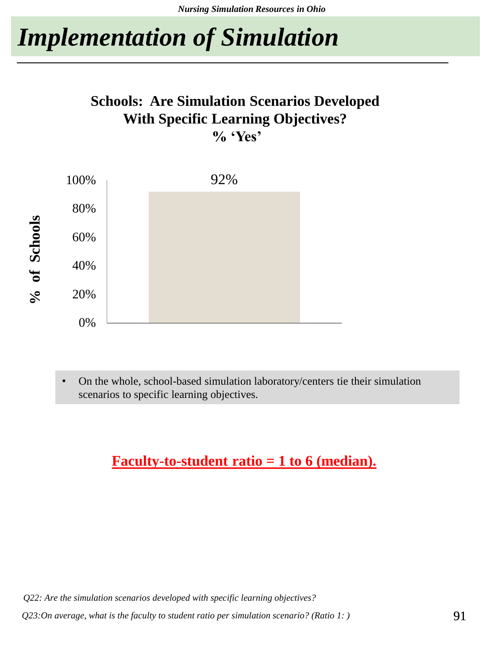# *Implementation of Simulation*

#### **Schools: Are Simulation Scenarios Developed With Specific Learning Objectives? % 'Yes'**



• On the whole, school-based simulation laboratory/centers tie their simulation scenarios to specific learning objectives.

#### **Faculty-to-student ratio = 1 to 6 (median).**

*Q22: Are the simulation scenarios developed with specific learning objectives?*

*Q23:On average, what is the faculty to student ratio per simulation scenario? (Ratio 1: )*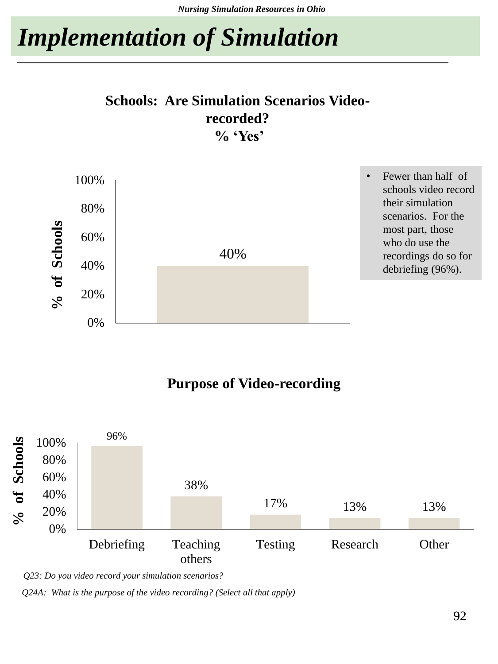*Nursing Simulation Resources in Ohio*

# *Implementation of Simulation*

#### **Schools: Are Simulation Scenarios Videorecorded? % 'Yes'**



#### **Purpose of Video-recording**



*Q23: Do you video record your simulation scenarios?*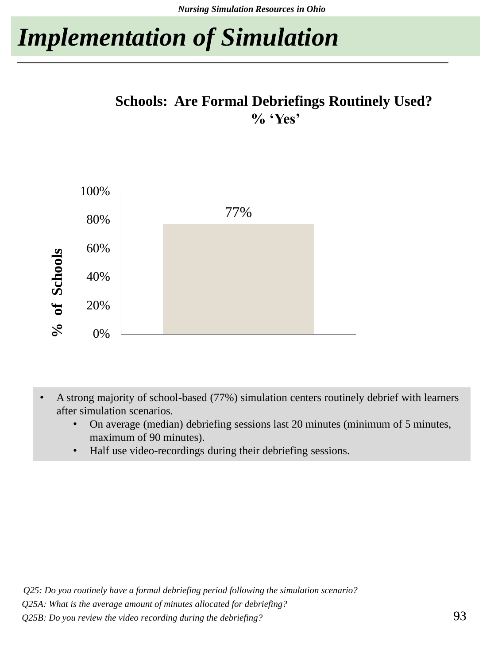# *Implementation of Simulation*

#### **Schools: Are Formal Debriefings Routinely Used? % 'Yes'**



- A strong majority of school-based (77%) simulation centers routinely debrief with learners after simulation scenarios.
	- On average (median) debriefing sessions last 20 minutes (minimum of 5 minutes, maximum of 90 minutes).
	- Half use video-recordings during their debriefing sessions.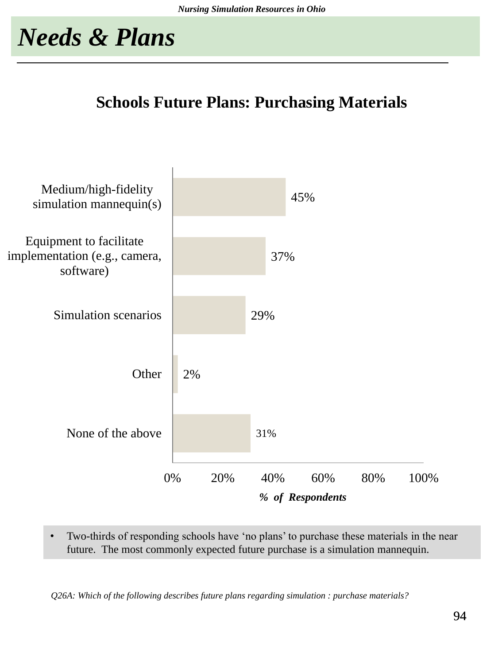#### **Schools Future Plans: Purchasing Materials**



• Two-thirds of responding schools have 'no plans' to purchase these materials in the near future. The most commonly expected future purchase is a simulation mannequin.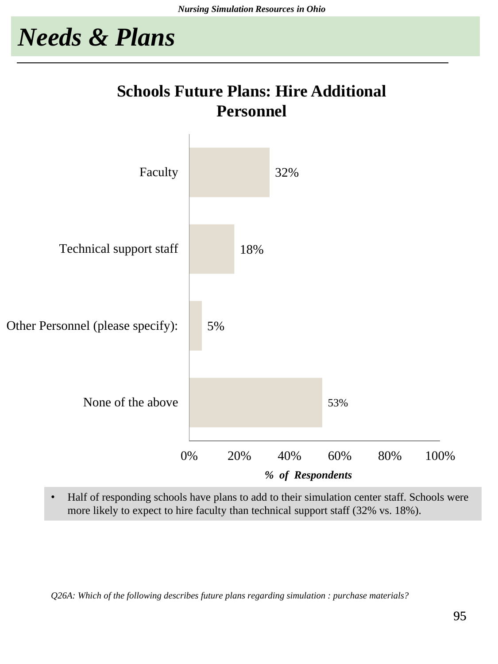### **Schools Future Plans: Hire Additional Personnel**



• Half of responding schools have plans to add to their simulation center staff. Schools were more likely to expect to hire faculty than technical support staff (32% vs. 18%).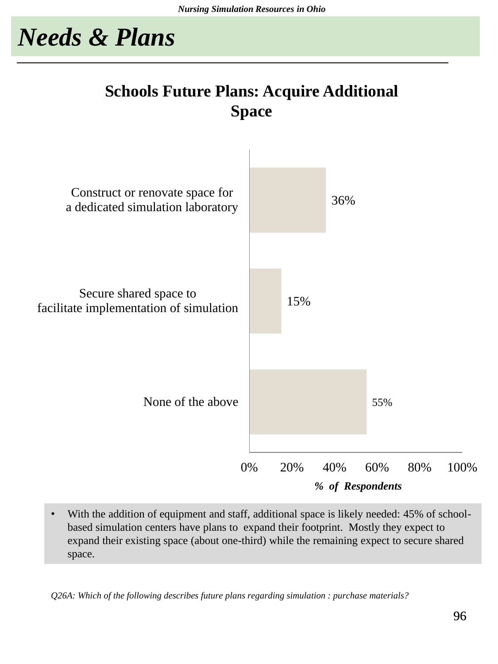### **Schools Future Plans: Acquire Additional Space**



With the addition of equipment and staff, additional space is likely needed: 45% of schoolbased simulation centers have plans to expand their footprint. Mostly they expect to expand their existing space (about one-third) while the remaining expect to secure shared space.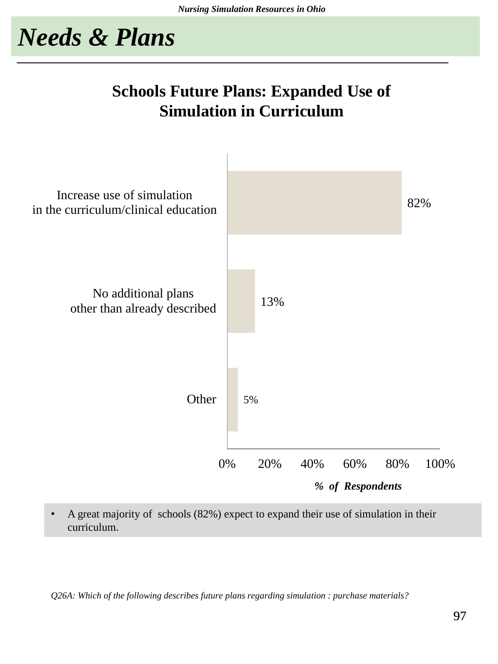### **Schools Future Plans: Expanded Use of Simulation in Curriculum**



• A great majority of schools (82%) expect to expand their use of simulation in their curriculum.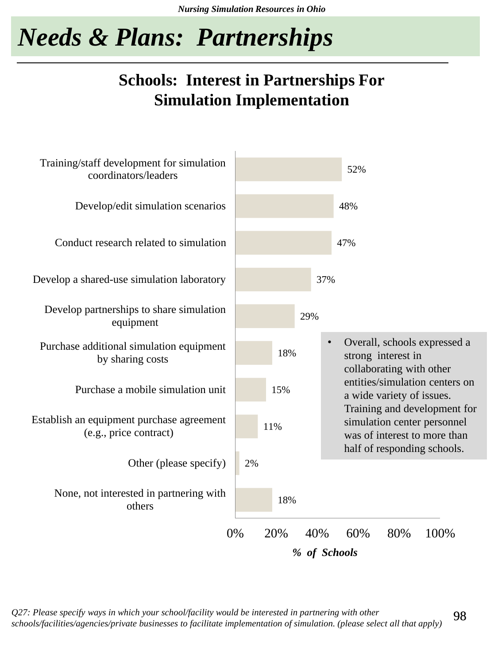# *Needs & Plans: Partnerships*

### **Schools: Interest in Partnerships For Simulation Implementation**



*Q27: Please specify ways in which your school/facility would be interested in partnering with other schools/facilities/agencies/private businesses to facilitate implementation of simulation. (please select all that apply)*

98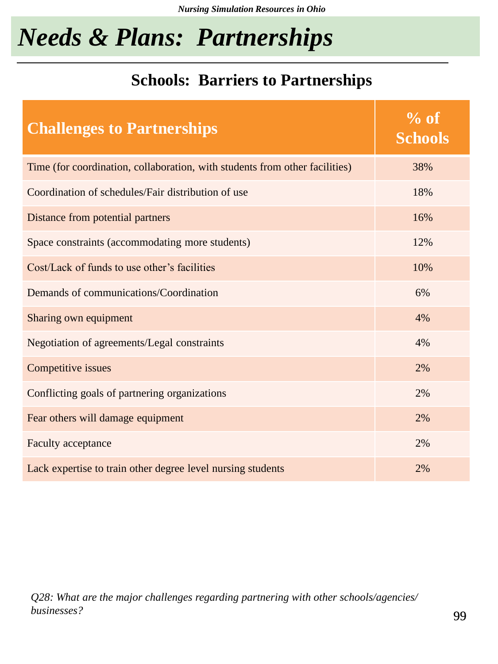# *Needs & Plans: Partnerships*

### **Schools: Barriers to Partnerships**

| <b>Challenges to Partnerships</b>                                           | $\%$ of<br><b>Schools</b> |
|-----------------------------------------------------------------------------|---------------------------|
| Time (for coordination, collaboration, with students from other facilities) | 38%                       |
| Coordination of schedules/Fair distribution of use                          | 18%                       |
| Distance from potential partners                                            | 16%                       |
| Space constraints (accommodating more students)                             | 12%                       |
| Cost/Lack of funds to use other's facilities                                | 10%                       |
| Demands of communications/Coordination                                      | 6%                        |
| Sharing own equipment                                                       | 4%                        |
| Negotiation of agreements/Legal constraints                                 | 4%                        |
| Competitive issues                                                          | 2%                        |
| Conflicting goals of partnering organizations                               | 2%                        |
| Fear others will damage equipment                                           | 2%                        |
| Faculty acceptance                                                          | 2%                        |
| Lack expertise to train other degree level nursing students                 | 2%                        |

*Q28: What are the major challenges regarding partnering with other schools/agencies/ businesses?*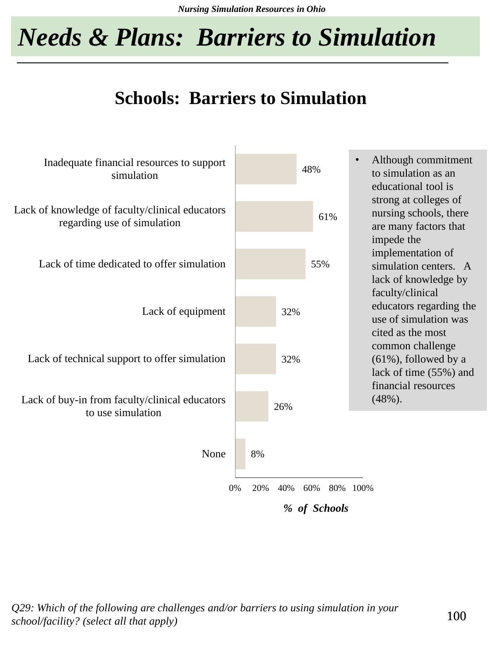*Nursing Simulation Resources in Ohio*

# *Needs & Plans: Barriers to Simulation*

### **Schools: Barriers to Simulation**



*Q29: Which of the following are challenges and/or barriers to using simulation in your school/facility? (select all that apply)*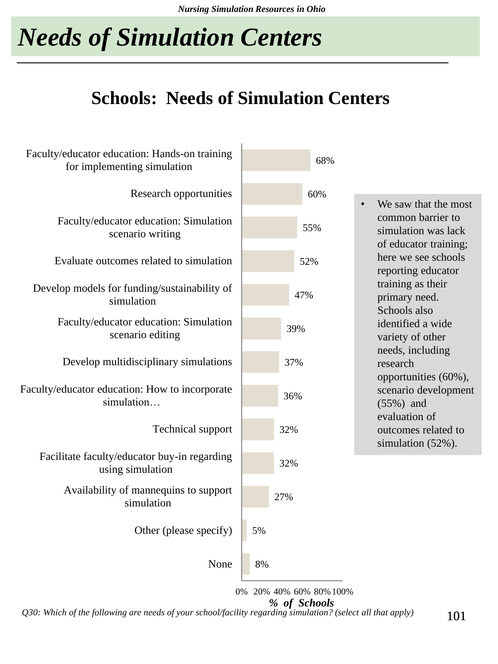# *Needs of Simulation Centers*

### **Schools: Needs of Simulation Centers**

| Faculty/educator education: Hands-on training<br>for implementing simulation | 68%                                     |                                                                   |
|------------------------------------------------------------------------------|-----------------------------------------|-------------------------------------------------------------------|
| Research opportunities                                                       | 60%                                     | We saw that the most<br>$\bullet$                                 |
| Faculty/educator education: Simulation<br>scenario writing                   | 55%                                     | common barrier to<br>simulation was lack<br>of educator training; |
| Evaluate outcomes related to simulation                                      | 52%                                     | here we see schools<br>reporting educator                         |
| Develop models for funding/sustainability of<br>simulation                   | 47%                                     | training as their<br>primary need.<br>Schools also                |
| Faculty/educator education: Simulation<br>scenario editing                   | 39%                                     | identified a wide<br>variety of other                             |
| Develop multidisciplinary simulations                                        | 37%                                     | needs, including<br>research<br>opportunities (60%),              |
| Faculty/educator education: How to incorporate<br>simulation                 | 36%                                     | scenario development<br>$(55%)$ and<br>evaluation of              |
| <b>Technical support</b>                                                     | 32%                                     | outcomes related to<br>simulation (52%).                          |
| Facilitate faculty/educator buy-in regarding<br>using simulation             | 32%                                     |                                                                   |
| Availability of mannequins to support<br>simulation                          | 27%                                     |                                                                   |
| Other (please specify)                                                       | 5%                                      |                                                                   |
| None                                                                         | 8%                                      |                                                                   |
|                                                                              | 0% 20% 40% 60% 80% 100%<br>% of Schools |                                                                   |

*Q30: Which of the following are needs of your school/facility regarding simulation? (select all that apply)*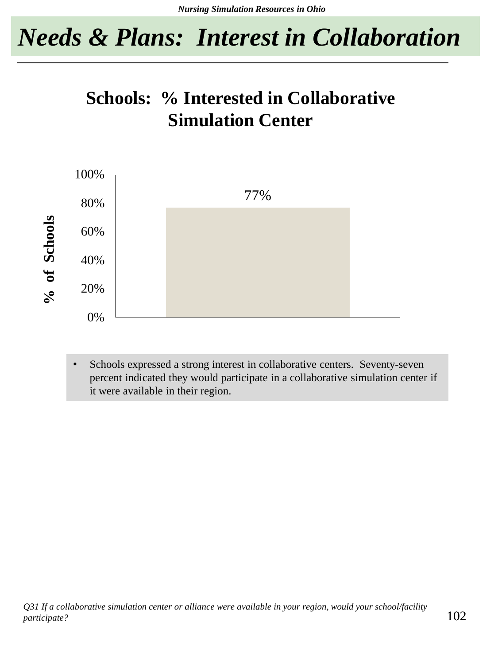## *Needs & Plans: Interest in Collaboration*

### **Schools: % Interested in Collaborative Simulation Center**



Schools expressed a strong interest in collaborative centers. Seventy-seven percent indicated they would participate in a collaborative simulation center if it were available in their region.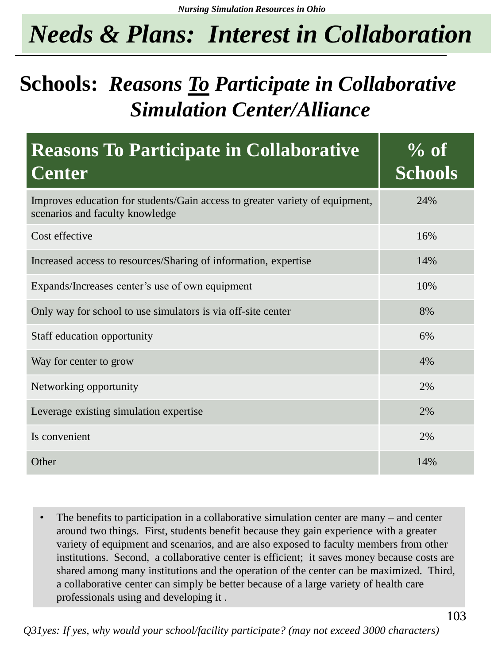# *Needs & Plans: Interest in Collaboration*

## **Schools:** *Reasons To Participate in Collaborative Simulation Center/Alliance*

| <b>Reasons To Participate in Collaborative</b><br><b>Center</b>                                                 | $\%$ of<br><b>Schools</b> |
|-----------------------------------------------------------------------------------------------------------------|---------------------------|
| Improves education for students/Gain access to greater variety of equipment,<br>scenarios and faculty knowledge | 24%                       |
| Cost effective                                                                                                  | 16%                       |
| Increased access to resources/Sharing of information, expertise                                                 | 14%                       |
| Expands/Increases center's use of own equipment                                                                 | 10%                       |
| Only way for school to use simulators is via off-site center                                                    | 8%                        |
| Staff education opportunity                                                                                     | 6%                        |
| Way for center to grow                                                                                          | 4%                        |
| Networking opportunity                                                                                          | 2%                        |
| Leverage existing simulation expertise                                                                          | 2%                        |
| Is convenient                                                                                                   | 2%                        |
| Other                                                                                                           | 14%                       |

The benefits to participation in a collaborative simulation center are many  $-$  and center around two things. First, students benefit because they gain experience with a greater variety of equipment and scenarios, and are also exposed to faculty members from other institutions. Second, a collaborative center is efficient; it saves money because costs are shared among many institutions and the operation of the center can be maximized. Third, a collaborative center can simply be better because of a large variety of health care professionals using and developing it .

*Q31yes: If yes, why would your school/facility participate? (may not exceed 3000 characters)*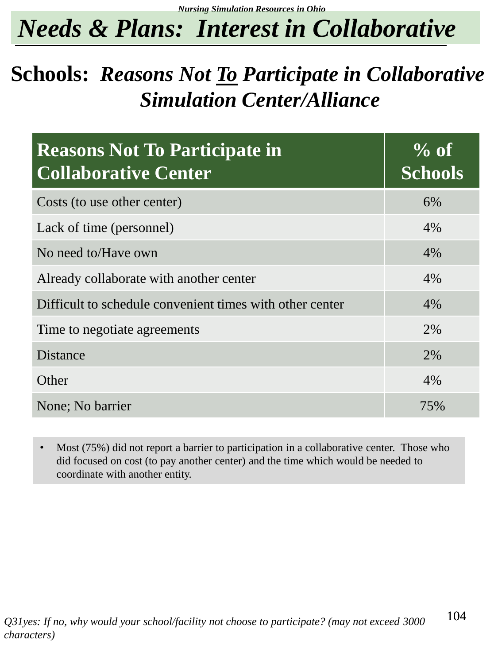*Nursing Simulation Resources in Ohio*

# *Needs & Plans: Interest in Collaborative*

## **Schools:** *Reasons Not To Participate in Collaborative Simulation Center/Alliance*

| <b>Reasons Not To Participate in</b><br><b>Collaborative Center</b> | $\%$ of<br><b>Schools</b> |
|---------------------------------------------------------------------|---------------------------|
| Costs (to use other center)                                         | 6%                        |
| Lack of time (personnel)                                            | 4%                        |
| No need to/Have own                                                 | 4%                        |
| Already collaborate with another center                             | 4%                        |
| Difficult to schedule convenient times with other center            | 4%                        |
| Time to negotiate agreements                                        | 2%                        |
| <b>Distance</b>                                                     | 2%                        |
| Other                                                               | 4%                        |
| None; No barrier                                                    | 75%                       |

Most (75%) did not report a barrier to participation in a collaborative center. Those who did focused on cost (to pay another center) and the time which would be needed to coordinate with another entity.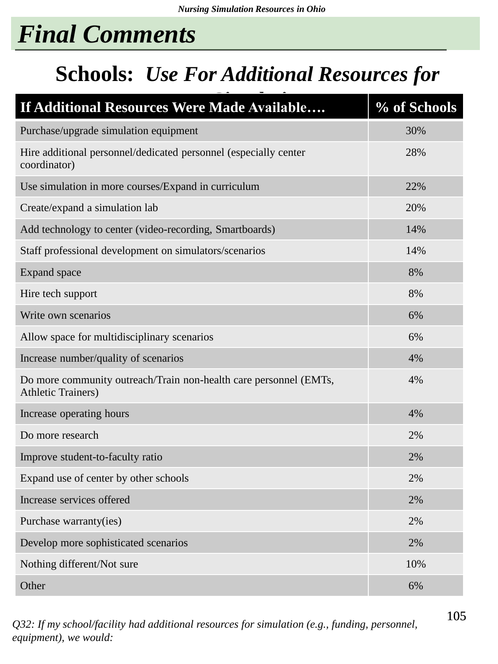# *Final Comments*

## **Schools:** *Use For Additional Resources for*

| If Additional Resources Were Made Available                                                    | % of Schools |
|------------------------------------------------------------------------------------------------|--------------|
| Purchase/upgrade simulation equipment                                                          | 30%          |
| Hire additional personnel/dedicated personnel (especially center<br>coordinator)               | 28%          |
| Use simulation in more courses/Expand in curriculum                                            | 22%          |
| Create/expand a simulation lab                                                                 | 20%          |
| Add technology to center (video-recording, Smartboards)                                        | 14%          |
| Staff professional development on simulators/scenarios                                         | 14%          |
| <b>Expand</b> space                                                                            | 8%           |
| Hire tech support                                                                              | 8%           |
| Write own scenarios                                                                            | 6%           |
| Allow space for multidisciplinary scenarios                                                    | 6%           |
| Increase number/quality of scenarios                                                           | 4%           |
| Do more community outreach/Train non-health care personnel (EMTs,<br><b>Athletic Trainers)</b> | 4%           |
| Increase operating hours                                                                       | 4%           |
| Do more research                                                                               | 2%           |
| Improve student-to-faculty ratio                                                               | 2%           |
| Expand use of center by other schools                                                          | 2%           |
| Increase services offered                                                                      | 2%           |
| Purchase warranty(ies)                                                                         | 2%           |
| Develop more sophisticated scenarios                                                           | 2%           |
| Nothing different/Not sure                                                                     | 10%          |
| Other                                                                                          | 6%           |

*Q32: If my school/facility had additional resources for simulation (e.g., funding, personnel, equipment), we would:*